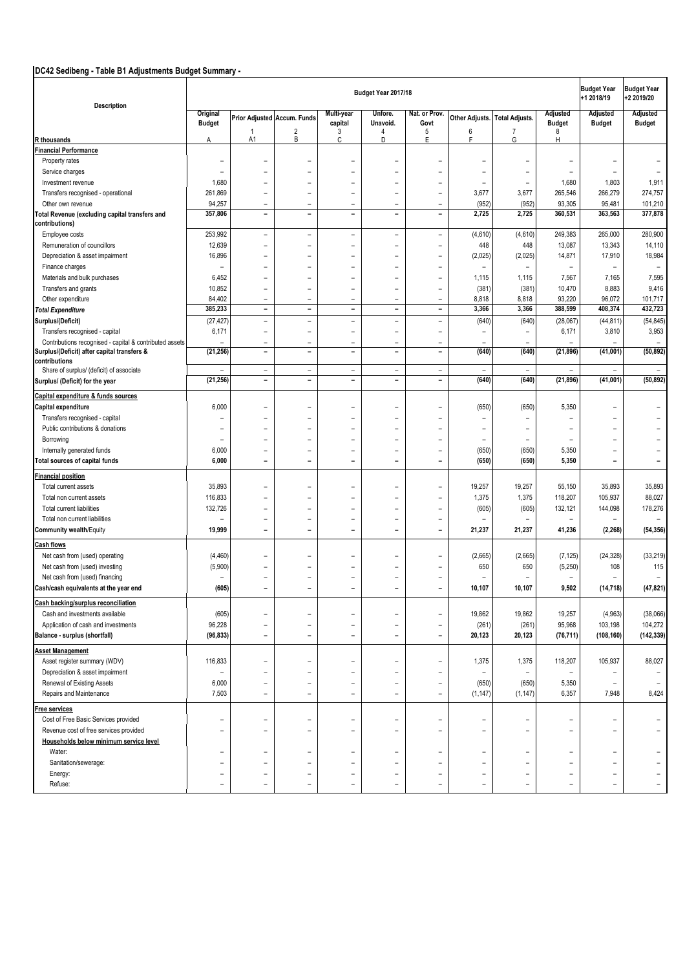# **DC42 Sedibeng - Table B1 Adjustments Budget Summary -**

| Description                                                  |                          |                          |                              |                          | Budget Year 2017/18      |                          |                          |                          |                          | <b>Budget Year</b><br>+1 2018/19 | <b>Budget Year</b><br>+2 2019/20 |
|--------------------------------------------------------------|--------------------------|--------------------------|------------------------------|--------------------------|--------------------------|--------------------------|--------------------------|--------------------------|--------------------------|----------------------------------|----------------------------------|
|                                                              | Original                 |                          | Prior Adjusted Accum. Funds  | Multi-year               | Unfore.                  | Nat. or Prov.            | Other Adjusts.           | <b>Total Adjusts.</b>    | Adjusted                 | Adjusted                         | Adjusted                         |
|                                                              | <b>Budget</b>            |                          |                              | capital                  | Unavoid.                 | Govt                     |                          |                          | <b>Budget</b>            | <b>Budget</b>                    | <b>Budget</b>                    |
| <b>R</b> thousands                                           | Α                        | $\mathbf{1}$<br>A1       | $\overline{\mathbf{c}}$<br>В | 3<br>$\mathbb C$         | 4<br>D                   | 5<br>E                   | 6<br>F                   | $\overline{7}$<br>G      | 8<br>H                   |                                  |                                  |
| <b>Financial Performance</b>                                 |                          |                          |                              |                          |                          |                          |                          |                          |                          |                                  |                                  |
| Property rates                                               | $\overline{\phantom{0}}$ |                          |                              | ٠                        |                          |                          |                          | ۰                        |                          | ٠                                |                                  |
| Service charges                                              | $\overline{\phantom{0}}$ | $\overline{\phantom{0}}$ | $\rightarrow$                | $\blacksquare$           | $\equiv$                 | $\equiv$                 | $\blacksquare$           | $\overline{\phantom{a}}$ | $\blacksquare$           | $\overline{\phantom{m}}$         | $\overline{\phantom{0}}$         |
| Investment revenue                                           | 1,680                    |                          |                              | $\overline{\phantom{0}}$ |                          | L,                       |                          | $\blacksquare$           | 1,680                    | 1,803                            | 1,911                            |
| Transfers recognised - operational                           | 261,869                  | $\overline{\phantom{0}}$ | $\overline{\phantom{0}}$     | $\overline{\phantom{0}}$ | $\overline{\phantom{m}}$ | $\overline{\phantom{0}}$ | 3,677                    | 3,677                    | 265,546                  | 266,279                          | 274,757                          |
| Other own revenue                                            | 94,257                   | $\overline{\phantom{0}}$ |                              | ÷                        |                          | $\overline{\phantom{0}}$ | (952)                    | (952)                    | 93,305                   | 95,481                           | 101,210                          |
| Total Revenue (excluding capital transfers and               | 357,806                  | $\overline{\phantom{a}}$ | $\overline{a}$               | $\overline{\phantom{a}}$ | $\overline{a}$           | $\overline{\phantom{a}}$ | 2,725                    | 2,725                    | 360,531                  | 363,563                          | 377,878                          |
| contributions)                                               |                          |                          |                              |                          |                          |                          |                          |                          |                          |                                  |                                  |
| Employee costs                                               | 253,992                  | $\overline{\phantom{0}}$ | $\overline{\phantom{0}}$     | $\blacksquare$           | $\qquad \qquad -$        | $\equiv$                 | (4,610)                  | (4,610)                  | 249,383                  | 265,000                          | 280,900                          |
| Remuneration of councillors                                  | 12,639                   | L,                       | $\overline{\phantom{0}}$     | $\blacksquare$           | $\overline{\phantom{m}}$ | ۰                        | 448                      | 448                      | 13,087                   | 13,343                           | 14,110                           |
| Depreciation & asset impairment                              | 16,896                   | $\overline{\phantom{0}}$ | $\overline{\phantom{0}}$     | $\overline{\phantom{0}}$ | $\overline{\phantom{m}}$ | $\overline{\phantom{0}}$ | (2,025)                  | (2,025)                  | 14,871                   | 17,910                           | 18,984                           |
| Finance charges                                              | $\overline{\phantom{0}}$ | $\overline{\phantom{0}}$ | $\overline{\phantom{0}}$     | $\blacksquare$           | $\overline{\phantom{0}}$ | $\overline{\phantom{0}}$ | $\overline{\phantom{0}}$ | $\equiv$                 | $\overline{\phantom{0}}$ | $\overline{\phantom{a}}$         | $\overline{\phantom{a}}$         |
| Materials and bulk purchases                                 | 6,452                    | $\overline{\phantom{0}}$ |                              | $\blacksquare$           |                          | $\overline{\phantom{0}}$ | 1,115                    | 1,115                    | 7,567                    | 7,165                            | 7,595                            |
| Transfers and grants                                         | 10,852                   | $\qquad \qquad -$        | $\overline{\phantom{0}}$     | $\overline{\phantom{a}}$ | $\overline{\phantom{m}}$ | $\overline{\phantom{a}}$ | (381)                    | (381)                    | 10,470                   | 8,883                            | 9,416                            |
| Other expenditure                                            | 84,402                   | $\overline{\phantom{0}}$ | $\overline{\phantom{0}}$     | $\overline{\phantom{0}}$ | $\overline{\phantom{m}}$ | $\overline{\phantom{m}}$ | 8,818                    | 8,818                    | 93,220                   | 96,072                           | 101,717                          |
| <b>Total Expenditure</b>                                     | 385,233                  | $\qquad \qquad -$        | $\overline{\phantom{a}}$     | $\overline{\phantom{a}}$ | $\overline{\phantom{a}}$ | $\overline{\phantom{a}}$ | 3,366                    | 3,366                    | 388,599                  | 408,374                          | 432,723                          |
| Surplus/(Deficit)                                            | (27, 427)                | $\overline{\phantom{0}}$ | $\overline{\phantom{0}}$     | $\blacksquare$           | $\equiv$                 | $\overline{\phantom{0}}$ | (640)                    | (640)                    | (28,067)                 | (44, 811)                        | (54, 845)                        |
| Transfers recognised - capital                               | 6,171                    | L,                       | $\overline{\phantom{0}}$     | $\overline{\phantom{0}}$ | $\equiv$                 | $\overline{\phantom{0}}$ | $\overline{\phantom{0}}$ | $\qquad \qquad -$        | 6,171                    | 3,810                            | 3,953                            |
| Contributions recognised - capital & contributed assets      |                          | $\overline{\phantom{a}}$ | $\overline{\phantom{0}}$     | ٠                        |                          | $\equiv$                 |                          |                          | $\equiv$                 | ÷                                | $\overline{\phantom{a}}$         |
| Surplus/(Deficit) after capital transfers &<br>contributions | (21, 256)                | $\overline{\phantom{a}}$ | $\overline{a}$               | $\overline{\phantom{0}}$ | $\overline{\phantom{0}}$ | $\overline{\phantom{a}}$ | (640)                    | (640)                    | (21, 896)                | (41,001)                         | (50, 892)                        |
| Share of surplus/ (deficit) of associate                     | $\equiv$                 | $\overline{\phantom{a}}$ | $\overline{\phantom{0}}$     | $\overline{\phantom{0}}$ | $\overline{\phantom{m}}$ | $\overline{\phantom{a}}$ | $\equiv$                 | $\equiv$                 | $\equiv$                 | $\equiv$                         | $\overline{\phantom{m}}$         |
| Surplus/ (Deficit) for the year                              | (21, 256)                | $\overline{\phantom{a}}$ | $\overline{a}$               | ÷,                       | $\overline{\phantom{0}}$ | $\overline{\phantom{a}}$ | (640)                    | (640)                    | (21, 896)                | (41,001)                         | (50, 892)                        |
| Capital expenditure & funds sources                          |                          |                          |                              |                          |                          |                          |                          |                          |                          |                                  |                                  |
| Capital expenditure                                          | 6,000                    | $\overline{\phantom{0}}$ | $\overline{\phantom{0}}$     | $\blacksquare$           | $\equiv$                 | ۰                        | (650)                    | (650)                    | 5,350                    | $\overline{\phantom{a}}$         |                                  |
| Transfers recognised - capital                               |                          |                          |                              | $\blacksquare$           |                          |                          |                          | $\overline{\phantom{0}}$ |                          | $\overline{a}$                   |                                  |
| Public contributions & donations                             |                          | $\overline{\phantom{0}}$ | $\overline{\phantom{0}}$     | $\blacksquare$           | $\equiv$                 | $\overline{\phantom{0}}$ | $\blacksquare$           | $\overline{\phantom{a}}$ | $\overline{\phantom{0}}$ | L                                |                                  |
| Borrowing                                                    |                          | ۳                        |                              | $\overline{\phantom{0}}$ |                          | ۰                        | $\overline{\phantom{0}}$ | $\blacksquare$           | $\overline{\phantom{0}}$ | $\blacksquare$                   |                                  |
| Internally generated funds                                   | 6,000                    | ۳                        |                              | $\blacksquare$           |                          | ۰                        | (650)                    | (650)                    | 5,350                    | $\overline{a}$                   |                                  |
| Total sources of capital funds                               | 6,000                    | -                        | $\overline{a}$               | $\overline{a}$           | $\overline{\phantom{0}}$ | $\overline{\phantom{0}}$ | (650)                    | (650)                    | 5,350                    | $\overline{\phantom{0}}$         | $\overline{\phantom{0}}$         |
| Financial position                                           |                          |                          |                              |                          |                          |                          |                          |                          |                          |                                  |                                  |
| Total current assets                                         | 35,893                   |                          |                              | $\blacksquare$           |                          |                          | 19,257                   | 19,257                   | 55,150                   | 35,893                           | 35,893                           |
| Total non current assets                                     | 116,833                  | $\overline{\phantom{0}}$ | $\overline{\phantom{0}}$     | $\overline{\phantom{0}}$ | $\overline{\phantom{0}}$ | $\overline{\phantom{0}}$ | 1,375                    | 1,375                    | 118,207                  | 105,937                          | 88,027                           |
| Total current liabilities                                    | 132,726                  | ۳                        | $\overline{\phantom{0}}$     | $\overline{\phantom{0}}$ | $\overline{\phantom{0}}$ | ۰                        | (605)                    | (605)                    | 132,121                  | 144,098                          | 178,276                          |
| Total non current liabilities                                | $\equiv$                 | $\overline{\phantom{0}}$ | $\overline{\phantom{0}}$     | $\rightarrow$            |                          | $\overline{\phantom{0}}$ |                          | $\equiv$                 | $\overline{\phantom{a}}$ | $\overline{\phantom{a}}$         |                                  |
| <b>Community wealth/Equity</b>                               | 19,999                   | -                        | $\overline{a}$               | $\overline{a}$           | $\overline{\phantom{0}}$ | $\overline{\phantom{0}}$ | 21,237                   | 21,237                   | 41,236                   | (2, 268)                         | (54, 356)                        |
|                                                              |                          |                          |                              |                          |                          |                          |                          |                          |                          |                                  |                                  |
| <b>Cash flows</b>                                            |                          |                          |                              |                          |                          |                          |                          |                          |                          |                                  |                                  |
| Net cash from (used) operating                               | (4, 460)                 |                          |                              | $\blacksquare$           |                          | $\overline{\phantom{0}}$ | (2,665)                  | (2,665)                  | (7, 125)                 | (24, 328)                        | (33, 219)                        |
| Net cash from (used) investing                               | (5,900)                  |                          |                              | $\overline{\phantom{0}}$ |                          | $\overline{\phantom{0}}$ | 650                      | 650                      | (5,250)                  | 108                              | 115                              |
| Net cash from (used) financing                               |                          |                          |                              | ٠                        |                          | ۰                        |                          |                          | $\overline{\phantom{0}}$ |                                  | $\equiv$                         |
| Cash/cash equivalents at the year end                        | (605)                    | -                        | $\overline{\phantom{0}}$     | $\overline{\phantom{0}}$ | $\overline{\phantom{0}}$ | $\overline{a}$           | 10,107                   | 10,107                   | 9,502                    | (14, 718)                        | (47, 821)                        |
| Cash backing/surplus reconciliation                          |                          |                          |                              |                          |                          |                          |                          |                          |                          |                                  |                                  |
| Cash and investments available                               | (605)                    | $\overline{\phantom{0}}$ | $\overline{\phantom{0}}$     | $\overline{\phantom{a}}$ | $\overline{\phantom{m}}$ | $\equiv$                 | 19,862                   | 19,862                   | 19,257                   | (4,963)                          | (38,066)                         |
| Application of cash and investments                          | 96,228                   |                          |                              | $\overline{\phantom{0}}$ |                          | $\overline{\phantom{0}}$ | (261)                    | (261)                    | 95,968                   | 103,198                          | 104,272                          |
| Balance - surplus (shortfall)                                | (96, 833)                | -                        | $\overline{a}$               | $\overline{\phantom{a}}$ | $\overline{\phantom{a}}$ | $\overline{\phantom{a}}$ | 20,123                   | 20,123                   | (76, 711)                | (108, 160)                       | (142, 339)                       |
|                                                              |                          |                          |                              |                          |                          |                          |                          |                          |                          |                                  |                                  |
| <b>Asset Management</b>                                      |                          |                          |                              |                          |                          |                          |                          |                          |                          |                                  |                                  |
| Asset register summary (WDV)                                 | 116,833                  | $\overline{\phantom{0}}$ | $\overline{a}$               | $\overline{\phantom{a}}$ | $\qquad \qquad -$        | $\qquad \qquad -$        | 1,375                    | 1,375                    | 118,207                  | 105,937                          | 88,027                           |
| Depreciation & asset impairment                              | $\overline{\phantom{0}}$ | -                        | $\overline{\phantom{0}}$     | $\equiv$                 | $\equiv$                 | $\equiv$                 |                          | $\overline{\phantom{a}}$ | $\overline{\phantom{a}}$ | $\overline{\phantom{m}}$         |                                  |
| Renewal of Existing Assets                                   | 6,000                    | -                        | $\overline{\phantom{0}}$     | $\overline{\phantom{a}}$ | $\overline{\phantom{a}}$ | $\overline{\phantom{a}}$ | (650)                    | (650)                    | 5,350                    | $\overline{\phantom{a}}$         |                                  |
| Repairs and Maintenance                                      | 7,503                    | $\equiv$                 | $\overline{\phantom{0}}$     | $\equiv$                 | $\equiv$                 | $\equiv$                 | (1, 147)                 | (1, 147)                 | 6,357                    | 7,948                            | 8,424                            |
| Free services                                                |                          |                          |                              |                          |                          |                          |                          |                          |                          |                                  |                                  |
| Cost of Free Basic Services provided                         | $\overline{\phantom{0}}$ | $\overline{\phantom{0}}$ | $\overline{\phantom{0}}$     | $\overline{\phantom{a}}$ | $\overline{\phantom{m}}$ | $\equiv$                 | $\overline{\phantom{0}}$ | $\overline{\phantom{0}}$ | $\equiv$                 | $\overline{\phantom{a}}$         |                                  |
| Revenue cost of free services provided                       | $\overline{\phantom{0}}$ |                          | $\overline{\phantom{0}}$     | $\overline{\phantom{0}}$ | $\overline{\phantom{0}}$ | $\overline{\phantom{0}}$ | $\overline{\phantom{0}}$ | $\overline{\phantom{a}}$ |                          | $\equiv$                         |                                  |
| Households below minimum service level                       |                          |                          |                              |                          |                          |                          |                          |                          |                          |                                  |                                  |
| Water:                                                       | $\overline{\phantom{0}}$ | -                        | $\overline{\phantom{0}}$     | $\overline{\phantom{a}}$ | $\overline{\phantom{a}}$ | $\overline{\phantom{a}}$ | $\overline{\phantom{0}}$ | $\overline{\phantom{0}}$ | $\overline{\phantom{0}}$ | $\overline{\phantom{a}}$         |                                  |
| Sanitation/sewerage:                                         | $\equiv$                 | ÷                        |                              | $\equiv$                 | $\overline{\phantom{0}}$ | $\equiv$                 | $\overline{\phantom{0}}$ | $\overline{\phantom{0}}$ | $\overline{\phantom{0}}$ | $\equiv$                         |                                  |
| Energy:                                                      | $\overline{\phantom{0}}$ |                          |                              | $\overline{\phantom{0}}$ | $\equiv$                 | $\equiv$                 |                          | $\overline{\phantom{0}}$ | $\qquad \qquad -$        | $\equiv$                         |                                  |
| Refuse:                                                      | $\overline{\phantom{0}}$ | ۳                        | $\overline{\phantom{0}}$     | ۳                        | $\overline{\phantom{m}}$ | $\qquad \qquad -$        | $\overline{\phantom{0}}$ | ۰                        |                          | -                                |                                  |
|                                                              |                          |                          |                              |                          |                          |                          |                          |                          |                          |                                  |                                  |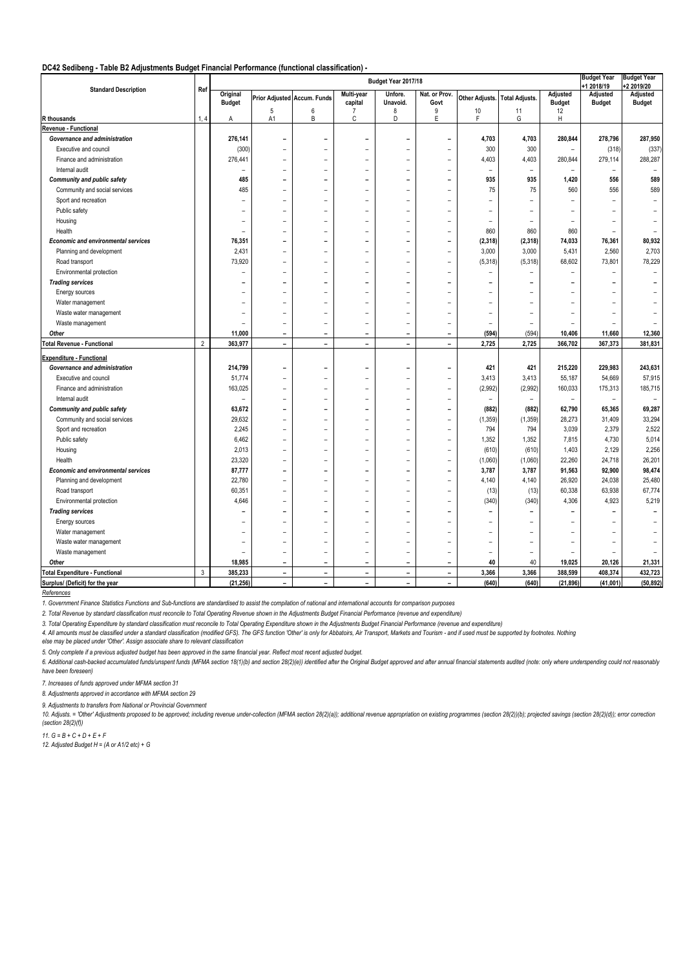#### **DC42 Sedibeng - Table B2 Adjustments Budget Financial Performance (functional classification) -**

| <b>Standard Description</b><br>Ref<br>Original<br>Multi-year<br>Nat. or Prov.<br>Adjusted<br>Unfore.<br>Prior Adjusted Accum. Funds<br>Other Adjusts. Total Adjusts.                                                  | +1 2018/19<br>Adjusted                               | +2 2019/20    |
|-----------------------------------------------------------------------------------------------------------------------------------------------------------------------------------------------------------------------|------------------------------------------------------|---------------|
|                                                                                                                                                                                                                       |                                                      | Adjusted      |
| <b>Budget</b><br>capital<br>Govt<br><b>Budget</b><br>Unavoid.                                                                                                                                                         | <b>Budget</b>                                        | <b>Budget</b> |
| 5<br>6<br>10<br>12<br>7<br>8<br>9<br>11<br>B<br>F                                                                                                                                                                     |                                                      |               |
| $\mathbb C$<br>E<br>A1<br>D<br>G<br>R thousands<br>1, 4<br>н<br>Α                                                                                                                                                     |                                                      |               |
| Revenue - Functional<br>Governance and administration                                                                                                                                                                 |                                                      |               |
| 276,141<br>4,703<br>4,703<br>280,844<br>-                                                                                                                                                                             | 278,796                                              | 287,950       |
| (300)<br>300<br>300<br>Executive and council                                                                                                                                                                          | (318)                                                | (337)         |
| 276,441<br>4,403<br>4,403<br>280,844<br>Finance and administration<br>$\overline{\phantom{a}}$<br>۰                                                                                                                   | 279,114                                              | 288,287       |
| Internal audit<br>÷<br>۰<br>$\overline{\phantom{a}}$                                                                                                                                                                  | $\overline{\phantom{a}}$<br>$\bar{ }$                |               |
| 485<br><b>Community and public safety</b><br>935<br>935<br>1,420                                                                                                                                                      | 556                                                  | 589           |
| 485<br>Community and social services<br>75<br>75                                                                                                                                                                      | 560<br>556                                           | 589           |
| Sport and recreation<br>÷<br>۰<br>÷                                                                                                                                                                                   | $\overline{\phantom{a}}$<br>$\overline{\phantom{a}}$ |               |
| Public safety                                                                                                                                                                                                         |                                                      |               |
| Housing<br>۰                                                                                                                                                                                                          | ٠                                                    |               |
| Health<br>860<br>860                                                                                                                                                                                                  | 860<br>$\overline{\phantom{a}}$                      |               |
| <b>Economic and environmental services</b><br>76,351<br>(2, 318)<br>(2,318)<br>74,033                                                                                                                                 | 76,361                                               | 80,932        |
| 2,431<br>3,000<br>5,431<br>Planning and development<br>3,000                                                                                                                                                          | 2,560                                                | 2,703         |
| 73,920<br>68,602<br>(5,318)<br>(5,318)<br>Road transport                                                                                                                                                              | 73,801                                               | 78,229        |
| Environmental protection<br>۰<br>÷<br>۰                                                                                                                                                                               | $\overline{\phantom{a}}$                             | $\equiv$      |
| <b>Trading services</b><br>$\overline{a}$<br>$\sim$<br>$\overline{\phantom{0}}$<br>۰<br>۰<br>÷<br>$\overline{\phantom{0}}$<br>$\overline{\phantom{0}}$                                                                | $\overline{\phantom{0}}$                             | $\equiv$      |
| Energy sources<br>÷<br>۰<br>٠<br>$\equiv$                                                                                                                                                                             |                                                      |               |
| Water management<br>$\overline{\phantom{a}}$<br>۰<br>۰<br>$\equiv$                                                                                                                                                    |                                                      |               |
| Waste water management<br>۰<br>$\equiv$<br>۰<br>۰<br>$\equiv$<br>$\equiv$<br>۰                                                                                                                                        | $\overline{\phantom{0}}$                             |               |
| Waste management<br>۰<br>$\overline{\phantom{a}}$<br>۰<br>۰<br>$\overline{\phantom{a}}$<br>$\overline{\phantom{a}}$<br>$\overline{\phantom{a}}$<br>۰                                                                  | $\overline{\phantom{a}}$                             |               |
| 11,000<br>(594)<br>(594)<br>Other<br>10,406<br>$\overline{\phantom{a}}$<br>$\overline{\phantom{a}}$<br>$\blacksquare$<br>$\overline{\phantom{0}}$<br>$\overline{\phantom{m}}$                                         | 11,660                                               | 12,360        |
| $\sqrt{2}$<br><b>Total Revenue - Functional</b><br>363,977<br>2,725<br>2,725<br>$\blacksquare$<br>$\overline{\phantom{a}}$<br>$\overline{\phantom{0}}$<br>$\blacksquare$<br>$\qquad \qquad \blacksquare$<br>366,702   | 367,373                                              | 381,831       |
| <b>Expenditure - Functional</b>                                                                                                                                                                                       |                                                      |               |
| Governance and administration<br>214,799<br>421<br>421<br>215,220<br>$\overline{\phantom{0}}$<br>-<br>$\overline{\phantom{0}}$                                                                                        | 229,983                                              | 243,631       |
| 51,774<br>3,413<br>3,413<br>55,187<br>Executive and council<br>$\overline{\phantom{a}}$<br>۰<br>۰<br>$\overline{\phantom{a}}$<br>$\overline{\phantom{a}}$                                                             | 54,669                                               | 57,915        |
| (2,992)<br>(2,992)<br>160,033<br>Finance and administration<br>163,025<br>$\overline{\phantom{a}}$<br>-<br>۰<br>$\overline{\phantom{a}}$<br>$\overline{\phantom{a}}$                                                  | 175,313                                              | 185,715       |
| Internal audit<br>$\overline{\phantom{0}}$<br>$\overline{\phantom{a}}$<br>۰<br>۰<br>$\overline{\phantom{a}}$                                                                                                          | ٠<br>$\overline{\phantom{a}}$                        |               |
| <b>Community and public safety</b><br>63,672<br>(882)<br>(882)<br>62,790<br>L,<br>$\blacksquare$<br>-<br>۰                                                                                                            | 65,365                                               | 69,287        |
| 29,632<br>(1, 359)<br>28,273<br>Community and social services<br>(1, 359)                                                                                                                                             | 31,409                                               | 33,294        |
| 2,245<br>794<br>794<br>3,039<br>Sport and recreation                                                                                                                                                                  | 2,379                                                | 2,522         |
| 6,462<br>1,352<br>1,352<br>Public safety<br>7,815                                                                                                                                                                     | 4,730                                                | 5,014         |
| 2,013<br>(610)<br>(610)<br>1,403<br>Housing<br>$\overline{\phantom{a}}$<br>L.<br>$\overline{\phantom{a}}$<br>÷<br>٠                                                                                                   | 2,129                                                | 2,256         |
| 23,320<br>(1,060)<br>(1,060)<br>22,260<br>Health<br>$\overline{\phantom{a}}$<br>$\equiv$<br>÷<br>۰<br>٠                                                                                                               | 24,718                                               | 26,201        |
| 87,777<br>3,787<br>3,787<br>91,563<br><b>Economic and environmental services</b><br>$\overline{\phantom{0}}$<br>$\overline{a}$<br>L.<br>$\overline{\phantom{a}}$<br>÷                                                 | 92,900                                               | 98,474        |
| 22,780<br>4,140<br>26,920<br>Planning and development<br>4,140<br>$\overline{\phantom{a}}$<br>÷<br>۰                                                                                                                  | 24,038                                               | 25,480        |
| 60,351<br>(13)<br>(13)<br>60,338<br>Road transport<br>$\overline{\phantom{a}}$<br>÷<br>۰<br>$\overline{\phantom{a}}$                                                                                                  | 63,938                                               | 67,774        |
| (340)<br>(340)<br>4,306<br>Environmental protection<br>4,646<br>÷<br>۰                                                                                                                                                | 4,923                                                | 5,219         |
| <b>Trading services</b>                                                                                                                                                                                               |                                                      |               |
| Energy sources<br>$\overline{\phantom{a}}$                                                                                                                                                                            |                                                      |               |
| Water management<br>۰                                                                                                                                                                                                 |                                                      |               |
| Waste water management<br>۰<br>-<br>۰                                                                                                                                                                                 | ۰                                                    |               |
| Waste management<br>$\overline{a}$<br>$\overline{a}$<br>$\overline{\phantom{0}}$<br>L,<br>Ē,<br>$\overline{a}$<br>$\overline{\phantom{a}}$<br>-                                                                       | $\overline{\phantom{0}}$                             |               |
| 18,985<br>40<br>40<br>19,025<br>Other<br>$\blacksquare$<br>-<br>$\overline{\phantom{0}}$<br>$\blacksquare$<br>$\overline{\phantom{0}}$                                                                                | 20,126                                               | 21,331        |
| $\mathbf{3}$<br>385,233<br>3,366<br>3,366<br>388,599<br><b>Total Expenditure - Functional</b><br>$\blacksquare$<br>$\overline{\phantom{a}}$<br>$\overline{\phantom{a}}$<br>$\blacksquare$<br>$\overline{\phantom{a}}$ | 408,374                                              | 432,723       |
| (21, 256)<br>(640)<br>(640)<br>(21, 896)<br>Surplus/ (Deficit) for the year<br>$\sim$<br>$\blacksquare$<br>$\overline{\phantom{0}}$<br>$\overline{\phantom{a}}$<br>$\overline{\phantom{m}}$                           | (41,001)                                             | (50, 892)     |

*References*

*1. Government Finance Statistics Functions and Sub-functions are standardised to assist the compilation of national and international accounts for comparison purposes*

*2. Total Revenue by standard classification must reconcile to Total Operating Revenue shown in the Adjustments Budget Financial Performance (revenue and expenditure)*

*3. Total Operating Expenditure by standard classification must reconcile to Total Operating Expenditure shown in the Adjustments Budget Financial Performance (revenue and expenditure)*

4. All amounts must be classified under a standard classification (modified GFS). The GFS function 'Other' is only for Abbatoirs, Air Transport, Markets and Tourism - and if used must be supported by footnotes. Nothing

*else may be placed under 'Other'. Assign associate share to relevant classification*

*5. Only complete if a previous adjusted budget has been approved in the same financial year. Reflect most recent adjusted budget.*

6. Additional cash-backed accumulated funds/unspent funds (MFMA section 18(1)(b) and section 28(2)(e)) identified after the Original Budget approved and after annual financial statements audited (note: only where underspen *have been foreseen)*

*7. Increases of funds approved under MFMA section 31*

*8. Adjustments approved in accordance with MFMA section 29* 

*9. Adjustments to transfers from National or Provincial Government*

10. Adjusts. = 'Other' Adjustments proposed to be approved; including revenue under-collection (MFMA section 28(2)(a)); additional revenue appropriation on existing programmes (section 28(2)(b); projected savings (section *(section 28(2)(f))*

*11. G = B + C + D + E + F*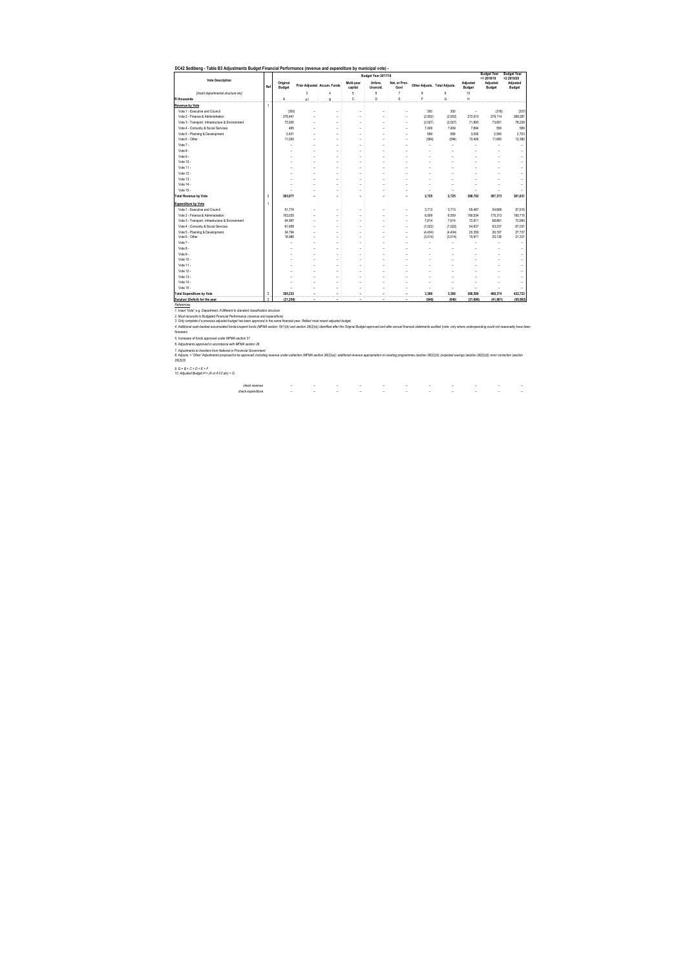| <b>Vote Description</b>                          |                |                    |    |                             |                          | Budget Year 2017/18       |                       |                               |         |                          | <b>Budget Year</b><br>+1 2018/19 | <b>Budget Year</b><br>+2 2019/20 |
|--------------------------------------------------|----------------|--------------------|----|-----------------------------|--------------------------|---------------------------|-----------------------|-------------------------------|---------|--------------------------|----------------------------------|----------------------------------|
|                                                  | Ref            | Original<br>Budget |    | Prior Adjusted Accum. Funds | Multi-vear<br>capital    | Unfore.<br><b>Unavoid</b> | Nat. or Prov.<br>Govt | Other Adjusts. Total Adjusts. |         | Adiusted<br>Budget       | Adjusted<br>Budget               | <b>Adjusted</b><br>Budget        |
| [Insert departmental structure etc]              |                |                    | 3  | 4                           | 5                        | 6                         | $\overline{t}$        | 8                             | q       | 10                       |                                  |                                  |
| <b>R</b> thousands                               |                | A                  | A1 | B                           | Ċ                        | D                         | E                     | F                             | Ġ       | н                        |                                  |                                  |
| Revenue by Vote                                  | 1              |                    |    |                             |                          |                           |                       |                               |         |                          |                                  |                                  |
| Vote 1 - Executive and Council                   |                | (300)              | ٠  | ٠                           | ٠                        | ٠                         | ۰                     | 300                           | 300     | $\overline{\phantom{0}}$ | (318)                            | (337)                            |
| Vote 2 - Finance & Administration                |                | 276.441            |    |                             |                          |                           | ٠                     | (2,932)                       | (2.932) | 273.510                  | 279.114                          | 288.287                          |
| Vote 3 - Transport, Infrastructure & Environment |                | 73.920             | ٠  | ä,                          |                          | ٠                         | ۰                     | (2,027)                       | (2,027) | 71.893                   | 73.801                           | 78,229                           |
| Vote 4 - Comunity & Social Services              |                | 485                | ٠  | ٠                           | ٠                        | i,                        | ٠                     | 7,409                         | 7,409   | 7.894                    | 556                              | 589                              |
| Vote 5 - Planning & Development                  |                | 2.431              |    |                             |                          | ٠                         |                       | 569                           | 569     | 3.000                    | 2.560                            | 2.703                            |
| Vote 6 - Other                                   |                | 11.000             | ٠  | ä,                          |                          | ٠                         |                       | (594)                         | (594)   | 10.406                   | 11,660                           | 12.360                           |
| Vote 7 -                                         |                | J.                 | ٠  | ۰                           |                          | ٠                         | ٠                     | ٠                             | ٠       | ٠                        | ٠                                | ٠                                |
| Vote 8 -                                         |                |                    | ٠  | ä,                          |                          | ۰                         | ۰                     | ٠                             |         | ۰                        |                                  | ٠                                |
| Vote 9 -                                         |                |                    | ٠  | ۰                           |                          | ٠                         |                       | ٠                             |         |                          |                                  | ٠                                |
| Vote 10                                          |                |                    | ٠  | L,                          |                          | ٠                         |                       | i,                            |         |                          |                                  | ٠                                |
| Vote 11-                                         |                |                    | ۰  | ٠                           |                          | ٠                         |                       | J.                            |         |                          |                                  | ۰                                |
| Vote 12 -                                        |                |                    |    |                             |                          |                           |                       |                               |         |                          |                                  |                                  |
| Vote 13 -                                        |                |                    | ۰  | ٠                           |                          | ٠                         |                       | J.                            |         |                          |                                  | ۰                                |
| Vote 14 -                                        |                |                    |    |                             |                          |                           |                       | ۰                             |         |                          |                                  | ٠                                |
| Vote 15 -                                        |                |                    |    | ٠                           |                          | ٠                         | ۰                     | ٠                             | ۰       | ۰                        | ۰                                | ۰                                |
| <b>Total Revenue by Vote</b>                     | $\overline{2}$ | 363,977            | ٠  |                             |                          | ۰                         | ۰                     | 2.725                         | 2,725   | 366,702                  | 367,373                          | 381.831                          |
| <b>Expenditure by Vote</b>                       | $\overline{1}$ |                    |    |                             |                          |                           |                       |                               |         |                          |                                  |                                  |
| Vote 1 - Executive and Council                   |                | 51.774             | ٠  | ۰                           | $\overline{\phantom{a}}$ | ٠                         | ٠                     | 3,713                         | 3.713   | 55.487                   | 54.669                           | 57.915                           |
| Vote 2 - Finance & Administration                |                | 163.025            | ٠  | ä,                          |                          | i,                        | ٠                     | 6.509                         | 6.509   | 169.534                  | 175.313                          | 185.715                          |
| Vote 3 - Transport, Infrastructure & Environment |                | 64.997             | ٠  | ٠                           | ٠                        | ٠                         | ٠                     | 7.614                         | 7.614   | 72.611                   | 68.861                           | 72.993                           |
| Vote 4 - Comunity & Social Services              |                | 61.659             |    |                             |                          |                           |                       | (7.022)                       | (7.022) | 54.637                   | 63.237                           | 67.031                           |
| Vote 5 - Planning & Development                  |                | 24.794             | ٠  | ä,                          |                          | ٠                         |                       | (4, 434)                      | (4.434) | 20.359                   | 26.167                           | 27.737                           |
| Vote 6 - Other                                   |                | 18.985             |    |                             |                          |                           |                       | (3,014)                       | (3.014) | 15.971                   | 20.126                           | 21.331                           |
| Vote 7 -                                         |                |                    | ٠  | ä,                          |                          | ٠                         |                       | ٠                             | ٠       | ۰                        | ٠                                | ٠                                |
| Vote 8 -                                         |                |                    | ٠  |                             |                          | ٠                         |                       | ٠                             |         |                          |                                  |                                  |
| Vote 9 -                                         |                |                    |    |                             |                          |                           |                       | J.                            |         |                          |                                  |                                  |
| Vote 10                                          |                |                    | ٠  | L,                          |                          | ٠                         |                       | J.                            |         |                          |                                  | ٠                                |
| Vote 11 -                                        |                |                    | ٠  | ۰                           | ٠                        | ٠                         |                       | ٠                             |         |                          |                                  | ٠                                |
| Vote 12 -                                        |                |                    |    |                             |                          | ٠                         |                       |                               |         |                          |                                  |                                  |
| Vote 13 -                                        |                |                    | ٠  | ä,                          |                          | ٠                         |                       | ٠                             |         |                          |                                  | ٠                                |
| Vote 14 -                                        |                |                    | ٠  | ۰                           |                          | ٠                         |                       | ٠                             |         |                          | J.                               | ٠                                |
| Vote 15 -                                        |                |                    | ۰  | ٠                           |                          | ۰                         |                       | L,                            |         | ٠                        |                                  |                                  |
| <b>Total Expenditure by Vote</b>                 | $\overline{2}$ | 385.233            | ٠  |                             |                          | ٠                         |                       | 3.366                         | 3.366   | 388,599                  | 408.374                          | 432.723                          |
| Surplus/ (Deficit) for the year                  | $\mathfrak{p}$ | (21.256)           | ٠  |                             |                          |                           |                       | (640)                         | (640)   | (21.896)                 | (41.001)                         | (50.892)                         |

3. Ony complex it a previous alged had been approved in the same financial year. Reflect most end adjusted budget approved and alser and francial statements audited (note: only where underspending could not resonably have

*7. Adjustments to transfers from National or Provincial Government 6. Adjustments approved in accordance with MFMA section 29* 

8. Adjusts – "Other Adjustments proposed to be approved; including revenue under-collection (MFMA section 26(2)(a)); additional revenue appropriation on existing programmes (section 28(2)(b)); projected savings (section 28

*9. G = B + C + D + E + F 10. Adjusted Budget H = (A or A1/2 etc) + G*

*check revenue* – – – – – – – – – – – *check expenditure* – – – – – – – – – – –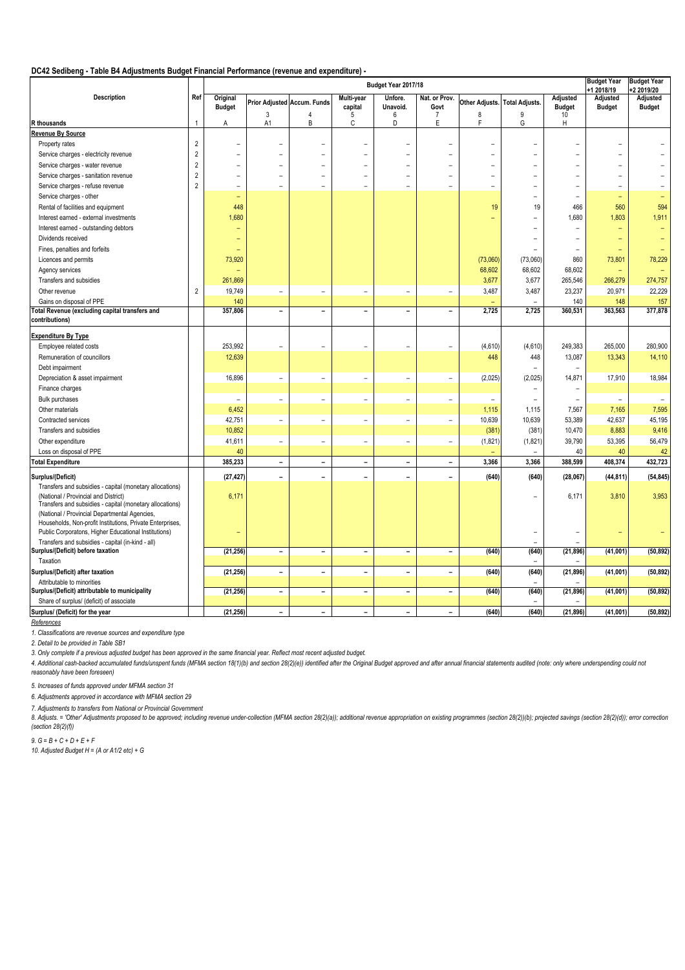## **DC42 Sedibeng - Table B4 Adjustments Budget Financial Performance (revenue and expenditure) -**

|                                                           | Budget Year 2017/18 |                          |                          |                             |                          |                          |                          |                               |                          | <b>Budget Year</b><br>+1 2018/19 | <b>Budget Year</b><br>+2 2019/20 |                          |
|-----------------------------------------------------------|---------------------|--------------------------|--------------------------|-----------------------------|--------------------------|--------------------------|--------------------------|-------------------------------|--------------------------|----------------------------------|----------------------------------|--------------------------|
| <b>Description</b>                                        | Ref                 | Original                 |                          | Prior Adjusted Accum. Funds | Multi-year               | Unfore.                  | Nat. or Prov.            | Other Adjusts. Total Adjusts. |                          | Adjusted                         | Adjusted                         | Adjusted                 |
|                                                           |                     | <b>Budget</b>            |                          |                             | capital                  | Unavoid.                 | Govt                     |                               |                          | <b>Budget</b>                    | <b>Budget</b>                    | <b>Budget</b>            |
| R thousands                                               | $\overline{1}$      | А                        | 3<br>A <sub>1</sub>      | 4<br>B                      | 5<br>C                   | 6<br>D                   | $\overline{7}$<br>E      | 8<br>F                        | 9<br>Ġ                   | 10<br>H                          |                                  |                          |
| <b>Revenue By Source</b>                                  |                     |                          |                          |                             |                          |                          |                          |                               |                          |                                  |                                  |                          |
| Property rates                                            | $\overline{2}$      | $\overline{\phantom{0}}$ |                          |                             |                          |                          |                          |                               | $\overline{\phantom{0}}$ |                                  |                                  |                          |
|                                                           | $\overline{c}$      |                          |                          |                             |                          |                          |                          |                               |                          |                                  |                                  |                          |
| Service charges - electricity revenue                     | $\overline{c}$      | $\overline{\phantom{a}}$ | $\rightarrow$            | ۳                           | L                        | L.                       |                          |                               | $\equiv$                 | L,                               | $\overline{\phantom{0}}$         |                          |
| Service charges - water revenue                           |                     |                          |                          |                             |                          |                          |                          | $\equiv$                      |                          |                                  |                                  |                          |
| Service charges - sanitation revenue                      | $\overline{c}$      | L.                       |                          |                             |                          |                          |                          |                               |                          | L                                |                                  |                          |
| Service charges - refuse revenue                          | $\overline{2}$      | $\overline{\phantom{a}}$ |                          |                             |                          | ۳                        |                          | $\overline{\phantom{m}}$      |                          |                                  | ۰                                |                          |
| Service charges - other                                   |                     | ٠                        |                          |                             |                          |                          |                          |                               |                          |                                  | $\overline{\phantom{a}}$         |                          |
| Rental of facilities and equipment                        |                     | 448                      |                          |                             |                          |                          |                          | 19                            | 19                       | 466                              | 560                              | 594                      |
| Interest earned - external investments                    |                     | 1,680                    |                          |                             |                          |                          |                          |                               | ۳                        | 1,680                            | 1,803                            | 1,911                    |
| Interest earned - outstanding debtors                     |                     |                          |                          |                             |                          |                          |                          |                               |                          |                                  |                                  |                          |
| Dividends received                                        |                     | ٠                        |                          |                             |                          |                          |                          |                               | $\overline{\phantom{0}}$ | $\overline{\phantom{0}}$         |                                  |                          |
| Fines, penalties and forfeits                             |                     | ٠                        |                          |                             |                          |                          |                          |                               |                          |                                  |                                  |                          |
| Licences and permits                                      |                     | 73,920                   |                          |                             |                          |                          |                          | (73,060)                      | (73,060)                 | 860                              | 73,801                           | 78,229                   |
| Agency services                                           |                     | ÷                        |                          |                             |                          |                          |                          | 68,602                        | 68,602                   | 68,602                           |                                  |                          |
| Transfers and subsidies                                   |                     | 261,869                  |                          |                             |                          |                          |                          | 3,677                         | 3,677                    | 265,546                          | 266,279                          | 274,757                  |
| Other revenue                                             | $\overline{2}$      | 19,749                   | $\overline{\phantom{a}}$ | ÷,                          | L,                       | ÷,                       | $\overline{\phantom{a}}$ | 3,487                         | 3,487                    | 23,237                           | 20,971                           | 22,229                   |
| Gains on disposal of PPE                                  |                     | 140                      |                          |                             |                          |                          |                          |                               |                          | 140                              | 148                              | 157                      |
| otal Revenue (excluding capital transfers and             |                     | 357,806                  | $\qquad \qquad -$        | $\overline{\phantom{0}}$    | $\overline{\phantom{a}}$ | $\overline{\phantom{a}}$ | $\overline{\phantom{a}}$ | 2,725                         | 2,725                    | 360,531                          | 363,563                          | 377,878                  |
| contributions)                                            |                     |                          |                          |                             |                          |                          |                          |                               |                          |                                  |                                  |                          |
| <b>Expenditure By Type</b>                                |                     |                          |                          |                             |                          |                          |                          |                               |                          |                                  |                                  |                          |
|                                                           |                     | 253,992                  | $\overline{\phantom{a}}$ | L,                          | L.                       |                          | $\overline{\phantom{a}}$ | (4,610)                       | (4,610)                  | 249,383                          | 265,000                          | 280,900                  |
| Employee related costs                                    |                     |                          |                          |                             |                          | $\overline{\phantom{a}}$ |                          |                               |                          |                                  |                                  |                          |
| Remuneration of councillors                               |                     | 12,639                   |                          |                             |                          |                          |                          | 448                           | 448                      | 13,087                           | 13,343                           | 14,110                   |
| Debt impairment                                           |                     |                          |                          |                             |                          |                          |                          |                               | -                        |                                  |                                  |                          |
| Depreciation & asset impairment                           |                     | 16,896                   | $\overline{\phantom{a}}$ | $\overline{\phantom{0}}$    | $\overline{\phantom{0}}$ | $\overline{\phantom{a}}$ | $\overline{\phantom{a}}$ | (2,025)                       | (2,025)                  | 14,871                           | 17,910                           | 18,984                   |
| Finance charges                                           |                     |                          |                          |                             |                          |                          |                          |                               |                          |                                  |                                  |                          |
| <b>Bulk purchases</b>                                     |                     | $\overline{\phantom{a}}$ | $\overline{\phantom{a}}$ | $\overline{\phantom{a}}$    | $\overline{\phantom{a}}$ | $\overline{\phantom{a}}$ | $\sim$                   | $\equiv$                      | $\equiv$                 | L.                               | $\overline{\phantom{a}}$         | $\overline{\phantom{m}}$ |
| Other materials                                           |                     | 6,452                    |                          |                             |                          |                          |                          | 1,115                         | 1,115                    | 7,567                            | 7,165                            | 7,595                    |
| Contracted services                                       |                     | 42,751                   | $\equiv$                 | $\overline{\phantom{a}}$    | $\overline{\phantom{a}}$ | $\overline{\phantom{a}}$ | $\sim$                   | 10,639                        | 10,639                   | 53,389                           | 42,637                           | 45,195                   |
| Transfers and subsidies                                   |                     | 10,852                   |                          |                             |                          |                          |                          | (381)                         | (381)                    | 10,470                           | 8,883                            | 9,416                    |
| Other expenditure                                         |                     | 41,611                   | $\overline{\phantom{a}}$ | $\overline{\phantom{0}}$    | $\overline{\phantom{0}}$ | $\overline{\phantom{a}}$ | $\overline{\phantom{a}}$ | (1,821)                       | (1,821)                  | 39,790                           | 53,395                           | 56,479                   |
| Loss on disposal of PPE                                   |                     | 40                       |                          |                             |                          |                          |                          |                               |                          | 40                               | 40                               | 42                       |
| <b>Total Expenditure</b>                                  |                     | 385,233                  | $\blacksquare$           | $\equiv$                    | $\overline{a}$           | $\overline{a}$           | $\overline{a}$           | 3,366                         | 3,366                    | 388,599                          | 408,374                          | 432,723                  |
| Surplus/(Deficit)                                         |                     | (27, 427)                | $\overline{\phantom{0}}$ | ۰                           | $\overline{\phantom{0}}$ | $\overline{\phantom{0}}$ | ۰                        | (640)                         | (640)                    | (28,067)                         | (44, 811)                        | (54, 845)                |
| Transfers and subsidies - capital (monetary allocations)  |                     |                          |                          |                             |                          |                          |                          |                               |                          |                                  |                                  |                          |
| (National / Provincial and District)                      |                     | 6,171                    |                          |                             |                          |                          |                          |                               |                          | 6,171                            | 3,810                            | 3,953                    |
| Transfers and subsidies - capital (monetary allocations)  |                     |                          |                          |                             |                          |                          |                          |                               |                          |                                  |                                  |                          |
| (National / Provincial Departmental Agencies,             |                     |                          |                          |                             |                          |                          |                          |                               |                          |                                  |                                  |                          |
| Households, Non-profit Institutions, Private Enterprises, |                     |                          |                          |                             |                          |                          |                          |                               |                          |                                  |                                  |                          |
| Public Corporatons, Higher Educational Institutions)      |                     | Ξ                        |                          |                             |                          |                          |                          |                               |                          |                                  |                                  |                          |
| Transfers and subsidies - capital (in-kind - all)         |                     |                          |                          |                             |                          |                          |                          |                               |                          |                                  |                                  |                          |
| Surplus/(Deficit) before taxation                         |                     | (21, 256)                | $\overline{\phantom{a}}$ | $\overline{\phantom{a}}$    | $\overline{\phantom{a}}$ | $\overline{\phantom{a}}$ | $\overline{\phantom{a}}$ | (640)                         | (640)                    | (21, 896)                        | (41,001)                         | (50, 892)                |
| Taxation                                                  |                     |                          |                          |                             |                          |                          |                          |                               | $\equiv$                 |                                  |                                  |                          |
| Surplus/(Deficit) after taxation                          |                     | (21, 256)                | $\overline{\phantom{a}}$ | $\overline{\phantom{a}}$    | $\overline{\phantom{a}}$ | $\overline{\phantom{a}}$ | $\overline{\phantom{a}}$ | (640)                         | (640)                    | (21, 896)                        | (41,001)                         | (50, 892)                |
| Attributable to minorities                                |                     |                          |                          |                             |                          |                          |                          |                               |                          |                                  |                                  |                          |
| Surplus/(Deficit) attributable to municipality            |                     | (21, 256)                | $\overline{\phantom{0}}$ | $\overline{\phantom{0}}$    | $\blacksquare$           | $\overline{\phantom{a}}$ | $\overline{\phantom{a}}$ | (640)                         | (640)                    | (21, 896)                        | (41,001)                         | (50, 892)                |
| Share of surplus/ (deficit) of associate                  |                     |                          |                          |                             |                          |                          |                          |                               | $\overline{\phantom{0}}$ |                                  |                                  |                          |
| Surplus/ (Deficit) for the year                           |                     | (21, 256)                | $\blacksquare$           | $\overline{\phantom{0}}$    | $\equiv$                 | $\blacksquare$           | $\blacksquare$           | (640)                         | (640)                    | (21, 896)                        | (41,001)                         | (50, 892)                |

*References*

*1. Classifications are revenue sources and expenditure type*

*2. Detail to be provided in Table SB1*

*3. Only complete if a previous adjusted budget has been approved in the same financial year. Reflect most recent adjusted budget.*

4. Additional cash-backed accumulated funds/unspent funds (MFMA section 18(1)(b) and section 28(2)(e)) identified after the Original Budget approved and after annual financial statements audited (note: only where underspen *reasonably have been foreseen)*

*5. Increases of funds approved under MFMA section 31*

*6. Adjustments approved in accordance with MFMA section 29* 

*7. Adjustments to transfers from National or Provincial Government*

8. Adjusts. = 'Other' Adjustments proposed to be approved; including revenue under-collection (MFMA section 28(2)(a)); additional revenue appropriation on existing programmes (section 28(2)(b); projected savings (section 2 *(section 28(2)(f))*

*9. G = B + C + D + E + F*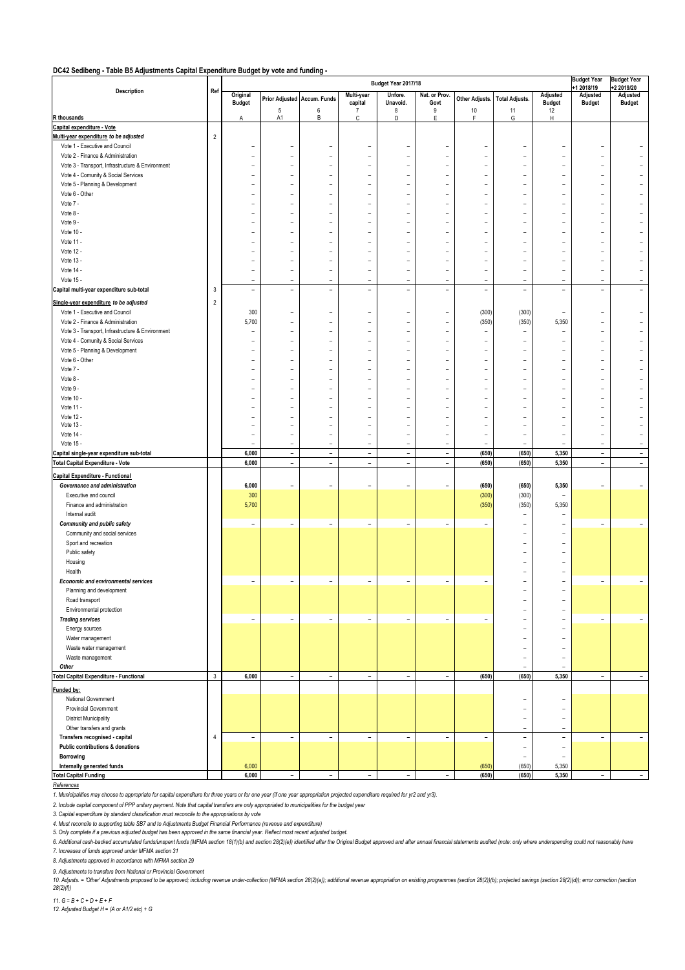#### **DC42 Sedibeng - Table B5 Adjustments Capital Expenditure Budget by vote and funding -**

|                                                                     | Budget Year 2017/18 |                              |                              |                              |                                  |                                  |                          | <b>Budget Year</b>               | <b>Budget Year</b>                                   |                                                      |                              |                          |
|---------------------------------------------------------------------|---------------------|------------------------------|------------------------------|------------------------------|----------------------------------|----------------------------------|--------------------------|----------------------------------|------------------------------------------------------|------------------------------------------------------|------------------------------|--------------------------|
| Description                                                         | Ref                 | Original                     |                              | Prior Adjusted Accum. Funds  | Multi-year                       | Unfore.                          | Nat. or Prov.            | Other Adjusts.                   | <b>Total Adjusts.</b>                                | Adjusted                                             | 1 2018/19<br>Adjusted        | +2 2019/20<br>Adjusted   |
|                                                                     |                     | <b>Budget</b>                | $\sqrt{5}$                   | $\bf 6$                      | capital<br>7                     | Unavoid.<br>8                    | Govt<br>9                | $10$                             | 11                                                   | <b>Budget</b><br>12                                  | <b>Budget</b>                | <b>Budget</b>            |
| R thousands                                                         |                     | Α                            | A1                           | В                            | С                                | D                                | E                        | F.                               | G                                                    | н                                                    |                              |                          |
| Capital expenditure - Vote                                          |                     |                              |                              |                              |                                  |                                  |                          |                                  |                                                      |                                                      |                              |                          |
| Multi-year expenditure to be adjusted                               | $\overline{2}$      |                              |                              |                              |                                  |                                  |                          |                                  |                                                      |                                                      |                              |                          |
| Vote 1 - Executive and Council<br>Vote 2 - Finance & Administration |                     |                              |                              |                              | $\overline{a}$<br>$\overline{a}$ | $\overline{a}$<br>-              | $\overline{\phantom{0}}$ | $\overline{a}$                   |                                                      |                                                      |                              |                          |
| Vote 3 - Transport, Infrastructure & Environment                    |                     |                              |                              | $\overline{a}$               | $\overline{a}$                   | $\overline{a}$                   |                          | $\overline{a}$                   |                                                      | $\overline{a}$                                       |                              |                          |
| Vote 4 - Comunity & Social Services                                 |                     |                              |                              |                              |                                  | -                                |                          |                                  |                                                      |                                                      |                              |                          |
| Vote 5 - Planning & Development                                     |                     |                              |                              |                              | $\overline{a}$                   | $\overline{a}$                   |                          | ۳                                |                                                      | $\overline{a}$                                       |                              |                          |
| Vote 6 - Other                                                      |                     |                              |                              |                              | $\overline{a}$                   | $\overline{\phantom{0}}$         | $\overline{\phantom{0}}$ | $\overline{a}$                   |                                                      |                                                      |                              |                          |
| Vote 7 -                                                            |                     |                              |                              |                              | $\overline{a}$                   | $\overline{a}$                   |                          |                                  |                                                      |                                                      |                              |                          |
| Vote 8 -                                                            |                     |                              |                              |                              |                                  | -                                |                          |                                  |                                                      |                                                      |                              |                          |
| Vote 9 -                                                            |                     |                              |                              |                              | $\overline{a}$                   | -                                |                          |                                  |                                                      |                                                      |                              |                          |
| Vote 10 -<br>Vote 11 -                                              |                     |                              |                              |                              | $\overline{a}$<br>$\overline{a}$ | -<br>-                           |                          |                                  |                                                      |                                                      |                              |                          |
| Vote 12 -                                                           |                     |                              |                              |                              |                                  | -                                |                          |                                  |                                                      |                                                      |                              |                          |
| Vote 13 -                                                           |                     |                              |                              |                              | $\overline{a}$                   | $\overline{a}$                   |                          |                                  |                                                      | $\overline{a}$                                       |                              |                          |
| Vote 14 -                                                           |                     |                              | $\overline{a}$               | $\overline{a}$               | $\overline{a}$                   | $\overline{\phantom{0}}$         | $\overline{\phantom{0}}$ | -                                |                                                      | $\overline{a}$                                       |                              |                          |
| Vote 15 -                                                           |                     | $\overline{a}$               | $\overline{a}$               | $\overline{\phantom{0}}$     | $\overline{a}$                   | $\overline{a}$                   | $\overline{a}$           | $\overline{\phantom{0}}$         | $\overline{a}$                                       | $\overline{a}$                                       | $\overline{a}$               |                          |
| Capital multi-year expenditure sub-total                            | 3                   | $\overline{\phantom{a}}$     | $\overline{\phantom{a}}$     | $\overline{a}$               | $\overline{\phantom{a}}$         | $\overline{\phantom{a}}$         | $\overline{\phantom{a}}$ | $\overline{\phantom{a}}$         | $\overline{\phantom{a}}$                             | $\overline{\phantom{a}}$                             | $\overline{a}$               |                          |
| Single-year expenditure to be adjusted                              | $\overline{2}$      |                              |                              |                              |                                  |                                  |                          |                                  |                                                      |                                                      |                              |                          |
| Vote 1 - Executive and Council                                      |                     | 300                          | $\overline{a}$               |                              | $\overline{\phantom{a}}$         | $\overline{a}$                   | $\overline{a}$           | (300)                            | (300)                                                | $\overline{a}$                                       | $\overline{\phantom{0}}$     |                          |
| Vote 2 - Finance & Administration                                   |                     | 5,700                        |                              |                              | $\overline{a}$                   | -                                |                          | (350)                            | (350)                                                | 5,350                                                |                              |                          |
| Vote 3 - Transport, Infrastructure & Environment                    |                     | ۳                            |                              | $\overline{a}$               | $\overline{a}$                   | $\overline{a}$                   |                          |                                  | $\overline{\phantom{a}}$                             | $\overline{a}$                                       |                              |                          |
| Vote 4 - Comunity & Social Services                                 |                     |                              |                              |                              |                                  |                                  |                          | $\overline{a}$                   |                                                      |                                                      |                              |                          |
| Vote 5 - Planning & Development                                     |                     |                              |                              |                              | $\overline{a}$                   | ۰                                |                          | ۰                                | $\overline{a}$                                       | ۳                                                    |                              |                          |
| Vote 6 - Other<br>Vote 7 -                                          |                     |                              | ۳                            | ۳                            | $\overline{a}$<br>$\overline{a}$ | $\overline{a}$<br>$\overline{a}$ |                          | $\overline{a}$<br>$\overline{a}$ | $\overline{a}$                                       | $\overline{a}$<br>L.                                 |                              |                          |
| Vote 8 -                                                            |                     |                              |                              |                              |                                  | $\overline{a}$                   |                          |                                  |                                                      | $\overline{a}$                                       |                              |                          |
| Vote 9 -                                                            |                     |                              |                              |                              | $\overline{a}$                   | $\overline{a}$                   |                          | L                                |                                                      |                                                      |                              |                          |
| Vote 10 -                                                           |                     |                              |                              |                              | $\overline{a}$                   | $\overline{\phantom{0}}$         |                          | $\overline{a}$                   |                                                      | $\overline{a}$                                       |                              |                          |
| Vote 11 -                                                           |                     |                              |                              |                              | $\overline{a}$                   | $\overline{a}$                   |                          |                                  |                                                      | $\overline{a}$                                       |                              |                          |
| Vote 12 -                                                           |                     |                              |                              |                              |                                  | $\overline{a}$                   |                          |                                  |                                                      | -                                                    |                              |                          |
| Vote 13 -                                                           |                     |                              | ۰                            | $\overline{a}$<br>L          | ۰                                | ۰<br>$\overline{a}$              | ۰                        | $\overline{a}$                   |                                                      | $\overline{a}$<br>$\overline{a}$                     |                              |                          |
| Vote 14 -<br>Vote 15 -                                              |                     | $\overline{a}$               | $\overline{a}$               | $\overline{a}$               | $\overline{a}$                   | $\overline{a}$                   | $\overline{a}$           | $\overline{a}$<br>$\overline{a}$ | $\overline{a}$                                       | $\overline{a}$                                       | $\overline{a}$               |                          |
| Capital single-year expenditure sub-total                           |                     | 6,000                        | $\overline{\phantom{a}}$     | $\overline{\phantom{a}}$     | $\overline{\phantom{a}}$         | $\overline{\phantom{a}}$         | $\overline{\phantom{a}}$ | (650)                            | (650)                                                | 5,350                                                | $\overline{\phantom{a}}$     | $\overline{\phantom{0}}$ |
| <b>Total Capital Expenditure - Vote</b>                             |                     | 6,000                        | $\overline{\phantom{a}}$     | $\overline{\phantom{0}}$     | $\overline{\phantom{a}}$         | $\overline{\phantom{a}}$         | $\overline{\phantom{a}}$ | (650)                            | (650)                                                | 5,350                                                | $\qquad \qquad \blacksquare$ | $\overline{\phantom{0}}$ |
| <b>Capital Expenditure - Functional</b>                             |                     |                              |                              |                              |                                  |                                  |                          |                                  |                                                      |                                                      |                              |                          |
| Governance and administration                                       |                     | 6,000                        |                              |                              | $\overline{a}$                   | $\overline{\phantom{a}}$         | $\overline{\phantom{0}}$ | (650)                            | (650)                                                | 5,350                                                |                              |                          |
| Executive and council                                               |                     | 300                          |                              |                              |                                  |                                  |                          | (300)                            | (300)                                                | $\overline{a}$                                       |                              |                          |
| Finance and administration                                          |                     | 5,700                        |                              |                              |                                  |                                  |                          | (350)                            | (350)                                                | 5,350                                                |                              |                          |
| Internal audit                                                      |                     |                              |                              |                              |                                  |                                  |                          |                                  | $\overline{\phantom{a}}$                             | $\overline{a}$                                       |                              |                          |
| <b>Community and public safety</b>                                  |                     | $\qquad \qquad -$            | $\overline{a}$               | -                            | $\overline{\phantom{0}}$         | $\overline{\phantom{a}}$         | $\overline{\phantom{0}}$ | -                                |                                                      |                                                      | $\qquad \qquad$              |                          |
| Community and social services<br>Sport and recreation               |                     |                              |                              |                              |                                  |                                  |                          |                                  |                                                      | $\overline{a}$                                       |                              |                          |
| Public safety                                                       |                     |                              |                              |                              |                                  |                                  |                          |                                  |                                                      |                                                      |                              |                          |
| Housing                                                             |                     |                              |                              |                              |                                  |                                  |                          |                                  |                                                      |                                                      |                              |                          |
| Health                                                              |                     |                              |                              |                              |                                  |                                  |                          |                                  |                                                      | $\overline{a}$                                       |                              |                          |
| <b>Economic and environmental services</b>                          |                     | $\qquad \qquad \blacksquare$ | $\qquad \qquad \blacksquare$ | $\overline{\phantom{0}}$     | $\overline{\phantom{a}}$         | $\overline{\phantom{a}}$         | $\overline{\phantom{a}}$ | $\overline{\phantom{0}}$         |                                                      | $\overline{a}$                                       | $\overline{a}$               |                          |
| Planning and development                                            |                     |                              |                              |                              |                                  |                                  |                          |                                  |                                                      |                                                      |                              |                          |
| Road transport                                                      |                     |                              |                              |                              |                                  |                                  |                          |                                  |                                                      | $\overline{a}$                                       |                              |                          |
| Environmental protection                                            |                     | $\overline{\phantom{a}}$     | $\overline{\phantom{a}}$     | $\overline{\phantom{0}}$     | $\overline{\phantom{a}}$         | $\overline{\phantom{a}}$         | $\overline{\phantom{a}}$ | $\overline{a}$                   | $\overline{a}$<br>$\overline{a}$                     | $\overline{\phantom{a}}$<br>$\overline{\phantom{a}}$ | $\overline{\phantom{a}}$     |                          |
| <b>Trading services</b><br>Energy sources                           |                     |                              |                              |                              |                                  |                                  |                          |                                  | $\overline{a}$                                       | $\overline{\phantom{0}}$                             |                              |                          |
| Water management                                                    |                     |                              |                              |                              |                                  |                                  |                          |                                  |                                                      | $\overline{a}$                                       |                              |                          |
| Waste water management                                              |                     |                              |                              |                              |                                  |                                  |                          |                                  | $\overline{a}$                                       | $\overline{a}$                                       |                              |                          |
| Waste management                                                    |                     |                              |                              |                              |                                  |                                  |                          |                                  | $\qquad \qquad -$                                    | $\overline{\phantom{a}}$                             |                              |                          |
| Other                                                               |                     |                              |                              |                              |                                  |                                  |                          |                                  |                                                      |                                                      |                              |                          |
| <b>Total Capital Expenditure - Functional</b>                       | $\sqrt{3}$          | 6,000                        | $\overline{\phantom{a}}$     | $\qquad \qquad \blacksquare$ | $\overline{\phantom{a}}$         | $\overline{\phantom{a}}$         | $\overline{\phantom{a}}$ | (650)                            | (650)                                                | 5,350                                                | $\blacksquare$               | -                        |
| Funded by:                                                          |                     |                              |                              |                              |                                  |                                  |                          |                                  |                                                      |                                                      |                              |                          |
| National Government                                                 |                     |                              |                              |                              |                                  |                                  |                          |                                  | $\overline{a}$                                       | $\overline{a}$                                       |                              |                          |
| Provincial Government                                               |                     |                              |                              |                              |                                  |                                  |                          |                                  | $\overline{a}$                                       | $\overline{a}$                                       |                              |                          |
| <b>District Municipality</b>                                        |                     |                              |                              |                              |                                  |                                  |                          |                                  |                                                      | $\overline{\phantom{0}}$                             |                              |                          |
| Other transfers and grants                                          |                     |                              |                              |                              |                                  |                                  |                          |                                  | $\overline{a}$                                       | $\overline{\phantom{0}}$                             |                              |                          |
| Transfers recognised - capital<br>Public contributions & donations  | $\overline{4}$      | $\overline{\phantom{a}}$     | $\overline{\phantom{a}}$     | $\frac{1}{2}$                | $\overline{\phantom{a}}$         | $\overline{\phantom{a}}$         | $\overline{\phantom{a}}$ | $\overline{\phantom{a}}$         | $\overline{\phantom{a}}$<br>$\overline{\phantom{m}}$ | $\overline{\phantom{a}}$<br>$\overline{\phantom{a}}$ | $\qquad \qquad -$            |                          |
| Borrowing                                                           |                     |                              |                              |                              |                                  |                                  |                          |                                  | $\overline{\phantom{a}}$                             | $\overline{\phantom{0}}$                             |                              |                          |
| Internally generated funds                                          |                     | 6,000                        |                              |                              |                                  |                                  |                          | (650)                            | (650)                                                | 5,350                                                |                              |                          |
| <b>Total Capital Funding</b>                                        |                     | 6,000                        | $\overline{\phantom{a}}$     | $\overline{\phantom{0}}$     | $\overline{\phantom{a}}$         | $\overline{\phantom{a}}$         | $\overline{\phantom{a}}$ | (650)                            | (650)                                                | 5,350                                                | $\overline{\phantom{a}}$     | $\overline{\phantom{0}}$ |

*References*

*1. Municipalities may choose to appropriate for capital expenditure for three years or for one year (if one year appropriation projected expenditure required for yr2 and yr3).*

*2. Include capital component of PPP unitary payment. Note that capital transfers are only appropriated to municipalities for the budget year*

*3. Capital expenditure by standard classification must reconcile to the appropriations by vote*

4. Must reconcile to supporting table SB7 and to Adjustments Budget Financial Performance (revenue and expenditure)<br>5. Only complete if a previous adjusted budget has been approved in the same financial year. Reflect most

. And included that set that set that is a set of the set of the set of the set of the set of the set of the set of the set of the set of the set of the set of the set of the set of the set of the set of the set of the set *been foreseen) 7. Increases of funds approved under MFMA section 31*

*8. Adjustments approved in accordance with MFMA section 29* 

9. Adjustments to transfers from National or Provincial Government<br>10. Adjusts. = 'Other' Adjustments proposed to be approved; including revenue under-collection (MFMA section 28(2)(a)); additional revenue appropriation on *28(2)(f))*

*11. G = B + C + D + E + F 12. Adjusted Budget H = (A or A1/2 etc) + G*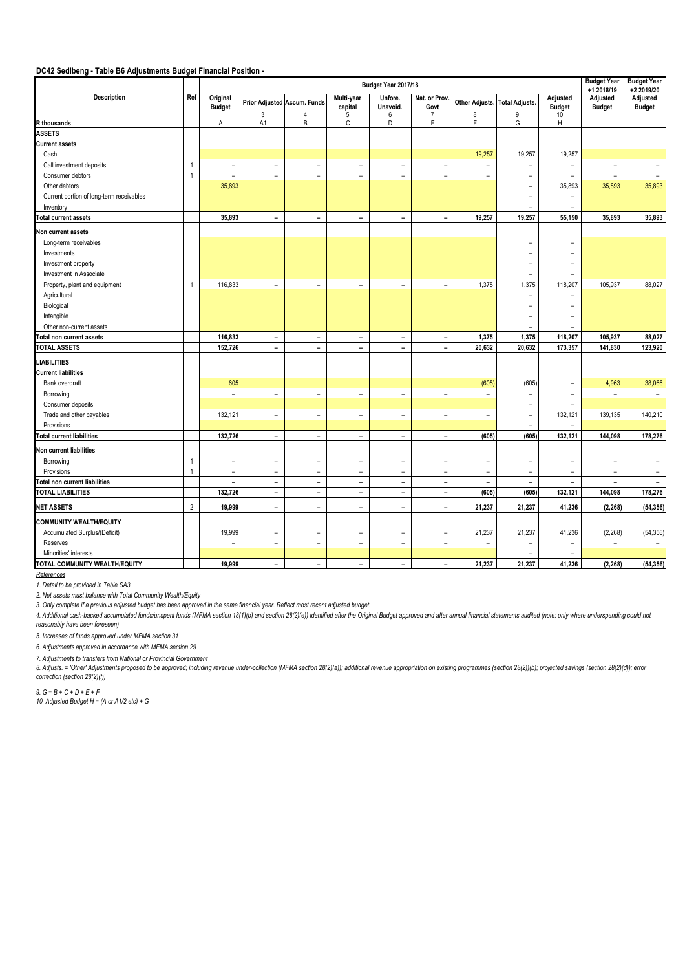## **DC42 Sedibeng - Table B6 Adjustments Budget Financial Position -**

|                                          |                |                           |                          |                             | <b>Budget Year</b><br>+1 2018/19 | <b>Budget Year</b><br>+2 2019/20 |                          |                          |                          |                           |                           |                           |
|------------------------------------------|----------------|---------------------------|--------------------------|-----------------------------|----------------------------------|----------------------------------|--------------------------|--------------------------|--------------------------|---------------------------|---------------------------|---------------------------|
| Description                              | Ref            | Original<br><b>Budget</b> |                          | Prior Adjusted Accum. Funds | Multi-year<br>capital            | Unfore.<br>Unavoid.              | Nat. or Prov.<br>Govt    | Other Adjusts.           | <b>Total Adjusts.</b>    | Adjusted<br><b>Budget</b> | Adjusted<br><b>Budget</b> | Adjusted<br><b>Budget</b> |
| R thousands                              |                | A                         | 3<br>A1                  | 4<br>B                      | 5<br>$\mathsf{C}$                | 6<br>D                           | $\overline{7}$<br>E      | 8<br>F                   | $9\,$<br>G               | 10<br>H                   |                           |                           |
| <b>ASSETS</b>                            |                |                           |                          |                             |                                  |                                  |                          |                          |                          |                           |                           |                           |
| <b>Current assets</b>                    |                |                           |                          |                             |                                  |                                  |                          |                          |                          |                           |                           |                           |
| Cash                                     |                |                           |                          |                             |                                  |                                  |                          | 19,257                   | 19,257                   | 19,257                    |                           |                           |
| Call investment deposits                 | -1             | $\overline{\phantom{0}}$  | $\overline{\phantom{a}}$ | $\sim$                      | $\overline{\phantom{a}}$         | $\overline{\phantom{a}}$         | $\overline{\phantom{a}}$ | $\equiv$                 | $\overline{\phantom{0}}$ | -                         | ۰                         |                           |
| Consumer debtors                         | -1             | $\overline{\phantom{0}}$  | $\overline{\phantom{0}}$ | $\equiv$                    | $\equiv$                         | $\equiv$                         | $\equiv$                 | $\overline{\phantom{0}}$ | $\overline{\phantom{0}}$ | $=$                       | $\overline{\phantom{0}}$  |                           |
| Other debtors                            |                | 35,893                    |                          |                             |                                  |                                  |                          |                          |                          | 35,893                    | 35,893                    | 35,893                    |
| Current portion of long-term receivables |                |                           |                          |                             |                                  |                                  |                          |                          | ۰                        | $\equiv$                  |                           |                           |
| Inventory                                |                |                           |                          |                             |                                  |                                  |                          |                          | ۳                        | $\equiv$                  |                           |                           |
| <b>Total current assets</b>              |                | 35,893                    | $\overline{\phantom{a}}$ | $\overline{\phantom{0}}$    | $\overline{\phantom{a}}$         | $\overline{\phantom{a}}$         | $\overline{\phantom{a}}$ | 19,257                   | 19,257                   | 55,150                    | 35,893                    | 35,893                    |
|                                          |                |                           |                          |                             |                                  |                                  |                          |                          |                          |                           |                           |                           |
| Non current assets                       |                |                           |                          |                             |                                  |                                  |                          |                          |                          |                           |                           |                           |
| Long-term receivables                    |                |                           |                          |                             |                                  |                                  |                          |                          |                          |                           |                           |                           |
| Investments                              |                |                           |                          |                             |                                  |                                  |                          |                          |                          |                           |                           |                           |
| Investment property                      |                |                           |                          |                             |                                  |                                  |                          |                          |                          |                           |                           |                           |
| Investment in Associate                  |                |                           |                          |                             |                                  |                                  |                          |                          | -                        |                           |                           |                           |
| Property, plant and equipment            | $\overline{1}$ | 116,833                   | $\overline{\phantom{a}}$ | $\overline{\phantom{a}}$    | $\overline{\phantom{a}}$         | $\equiv$                         | $\overline{\phantom{a}}$ | 1,375                    | 1,375                    | 118,207                   | 105,937                   | 88,027                    |
| Agricultural                             |                |                           |                          |                             |                                  |                                  |                          |                          |                          |                           |                           |                           |
| Biological                               |                |                           |                          |                             |                                  |                                  |                          |                          |                          |                           |                           |                           |
| Intangible                               |                |                           |                          |                             |                                  |                                  |                          |                          |                          |                           |                           |                           |
| Other non-current assets                 |                |                           |                          |                             |                                  |                                  |                          |                          | ۳                        |                           |                           |                           |
| otal non current assets                  |                | 116,833                   | $\overline{\phantom{a}}$ | $\overline{\phantom{a}}$    | $\overline{\phantom{a}}$         | $\overline{\phantom{a}}$         | $\overline{\phantom{a}}$ | 1,375                    | 1,375                    | 118,207                   | 105,937                   | 88,027                    |
| <b>TOTAL ASSETS</b>                      |                | 152,726                   | $\blacksquare$           | $\overline{\phantom{0}}$    | $\blacksquare$                   | $\blacksquare$                   | $\blacksquare$           | 20,632                   | 20,632                   | 173,357                   | 141,830                   | 123,920                   |
| <b>LIABILITIES</b>                       |                |                           |                          |                             |                                  |                                  |                          |                          |                          |                           |                           |                           |
| <b>Current liabilities</b>               |                |                           |                          |                             |                                  |                                  |                          |                          |                          |                           |                           |                           |
| Bank overdraft                           |                | 605                       |                          |                             |                                  |                                  |                          | (605)                    | (605)                    | $\overline{\phantom{0}}$  | 4,963                     | 38,066                    |
| Borrowing                                |                | $\overline{\phantom{0}}$  | $\overline{\phantom{a}}$ | $\sim$                      | $\overline{\phantom{m}}$         | $\overline{\phantom{a}}$         | $\overline{\phantom{a}}$ | $\overline{\phantom{0}}$ | -                        | $\overline{\phantom{0}}$  | $\overline{\phantom{0}}$  | $\equiv$                  |
| Consumer deposits                        |                |                           |                          |                             |                                  |                                  |                          |                          | $\overline{\phantom{0}}$ | $\equiv$                  |                           |                           |
| Trade and other payables                 |                | 132,121                   | $\overline{\phantom{a}}$ | $\overline{\phantom{a}}$    | $\overline{\phantom{a}}$         | $\overline{\phantom{a}}$         | $\overline{\phantom{a}}$ | $\overline{\phantom{a}}$ | $\overline{\phantom{m}}$ | 132,121                   | 139,135                   | 140,210                   |
| Provisions                               |                |                           |                          |                             |                                  |                                  |                          |                          | ÷                        | ÷                         |                           |                           |
| <b>Total current liabilities</b>         |                | 132,726                   | $\overline{\phantom{a}}$ | $\blacksquare$              | $\overline{\phantom{a}}$         | $\blacksquare$                   | $\overline{\phantom{a}}$ | (605)                    | (605)                    | 132,121                   | 144,098                   | 178,276                   |
| Non current liabilities                  |                |                           |                          |                             |                                  |                                  |                          |                          |                          |                           |                           |                           |
| Borrowing                                | -1             |                           | $\overline{\phantom{a}}$ | ٠                           | $\overline{\phantom{0}}$         | $\overline{\phantom{a}}$         | $\overline{\phantom{a}}$ | $\blacksquare$           | ۰                        |                           |                           |                           |
| Provisions                               | $\overline{1}$ | ÷,                        | ÷,                       | $\overline{a}$              | ÷,                               | ÷,                               | $\equiv$                 | ÷                        | $\equiv$                 | $\equiv$                  | ٠                         |                           |
| <b>Total non current liabilities</b>     |                | $\overline{\phantom{0}}$  | $\overline{\phantom{a}}$ | $\overline{\phantom{a}}$    | $\overline{\phantom{a}}$         | $\overline{\phantom{a}}$         | $\overline{\phantom{a}}$ | $\overline{\phantom{a}}$ | $\overline{\phantom{a}}$ | $\overline{\phantom{0}}$  | ۰                         |                           |
| <b>TOTAL LIABILITIES</b>                 |                | 132,726                   | $\overline{\phantom{a}}$ | $\overline{\phantom{a}}$    | $\overline{\phantom{a}}$         | $\overline{\phantom{a}}$         | $\overline{\phantom{a}}$ | (605)                    | (605)                    | 132,121                   | 144,098                   | 178,276                   |
| <b>NET ASSETS</b>                        | $\sqrt{2}$     | 19,999                    | $\overline{\phantom{a}}$ | $\overline{\phantom{0}}$    | $\overline{\phantom{a}}$         | $\overline{\phantom{0}}$         | $\overline{\phantom{a}}$ | 21,237                   | 21,237                   | 41,236                    | (2, 268)                  | (54, 356)                 |
| <b>COMMUNITY WEALTH/EQUITY</b>           |                |                           |                          |                             |                                  |                                  |                          |                          |                          |                           |                           |                           |
| Accumulated Surplus/(Deficit)            |                | 19,999                    | $\overline{\phantom{a}}$ | $\overline{\phantom{m}}$    | $\overline{\phantom{a}}$         | $\overline{\phantom{a}}$         | $\overline{\phantom{a}}$ | 21,237                   | 21,237                   | 41,236                    | (2, 268)                  | (54, 356)                 |
| Reserves                                 |                | $\overline{\phantom{m}}$  | $\overline{\phantom{m}}$ | $\overline{\phantom{a}}$    | $\overline{\phantom{a}}$         | $\overline{\phantom{a}}$         | $\overline{\phantom{a}}$ | $\overline{\phantom{a}}$ | $\overline{\phantom{0}}$ | $\overline{\phantom{0}}$  | $\overline{\phantom{a}}$  | $\equiv$                  |
| Minorities' interests                    |                |                           |                          |                             |                                  |                                  |                          |                          |                          |                           |                           |                           |
| TOTAL COMMUNITY WEALTH/EQUITY            |                | 19,999                    | $\blacksquare$           | $\blacksquare$              | $\blacksquare$                   | $\blacksquare$                   | $\overline{\phantom{a}}$ | 21,237                   | 21,237                   | 41,236                    | (2, 268)                  | (54, 356)                 |
|                                          |                |                           |                          |                             |                                  |                                  |                          |                          |                          |                           |                           |                           |

*References*

*1. Detail to be provided in Table SA3*

*2. Net assets must balance with Total Community Wealth/Equity*

*3. Only complete if a previous adjusted budget has been approved in the same financial year. Reflect most recent adjusted budget.*

4. Additional cash-backed accumulated funds/unspent funds (MFMA section 18(1)(b) and section 28(2)(e)) identified after the Original Budget approved and after annual financial statements audited (note: only where underspen *reasonably have been foreseen)*

*5. Increases of funds approved under MFMA section 31*

*6. Adjustments approved in accordance with MFMA section 29* 

*7. Adjustments to transfers from National or Provincial Government*

8. Adjusts. = 'Other' Adjustments proposed to be approved; including revenue under-collection (MFMA section 28(2)(a)); additional revenue appropriation on existing programmes (section 28(2)(b); projected savings (section 2 *correction (section 28(2)(f))*

*9. G = B + C + D + E + F*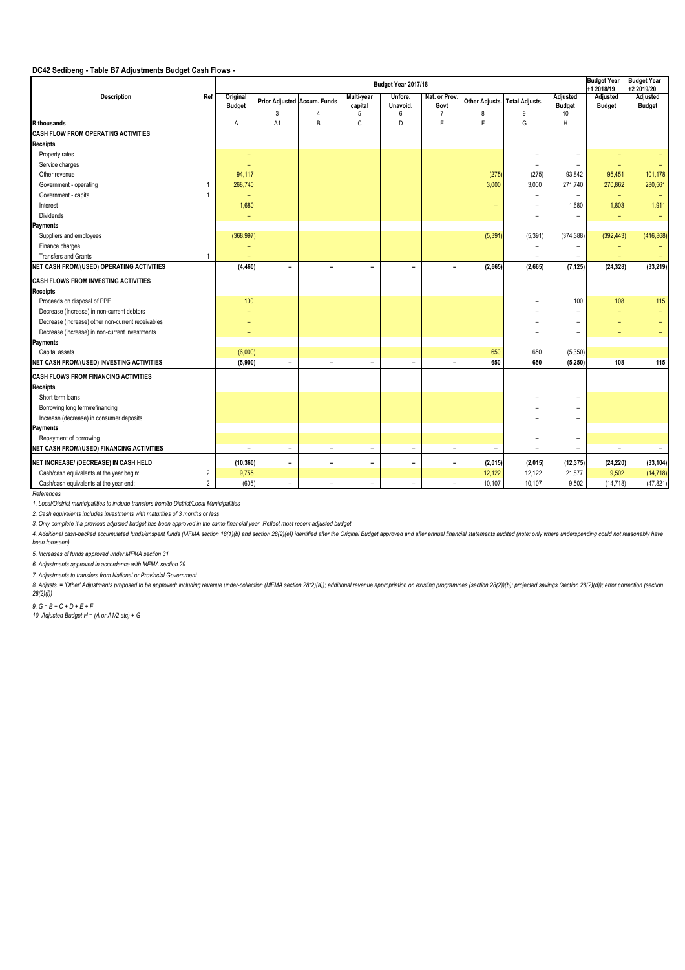## **DC42 Sedibeng - Table B7 Adjustments Budget Cash Flows -**

|                                                   |                |                           |                                  |                          | <b>Budget Year</b><br>+1 2018/19 | <b>Budget Year</b><br>+2 2019/20 |                                         |                                    |                          |                                 |                              |                           |
|---------------------------------------------------|----------------|---------------------------|----------------------------------|--------------------------|----------------------------------|----------------------------------|-----------------------------------------|------------------------------------|--------------------------|---------------------------------|------------------------------|---------------------------|
| Description                                       | Ref            | Original<br><b>Budget</b> | Prior Adjusted Accum. Funds<br>3 | 4                        | Multi-year<br>capital<br>5       | Unfore.<br>Unavoid.<br>6         | Nat. or Prov.<br>Govt<br>$\overline{7}$ | Other Adjusts. Total Adjusts.<br>8 | 9                        | Adjusted<br><b>Budget</b><br>10 | Adjusted<br><b>Budget</b>    | Adjusted<br><b>Budget</b> |
| <b>R</b> thousands                                |                | A                         | A <sub>1</sub>                   | B                        | C                                | D                                | E                                       | F                                  | G                        | H                               |                              |                           |
| <b>CASH FLOW FROM OPERATING ACTIVITIES</b>        |                |                           |                                  |                          |                                  |                                  |                                         |                                    |                          |                                 |                              |                           |
| Receipts                                          |                |                           |                                  |                          |                                  |                                  |                                         |                                    |                          |                                 |                              |                           |
| Property rates                                    |                | $\overline{\phantom{0}}$  |                                  |                          |                                  |                                  |                                         |                                    | $\overline{\phantom{0}}$ | -                               |                              |                           |
| Service charges                                   |                |                           |                                  |                          |                                  |                                  |                                         |                                    | $\overline{\phantom{a}}$ | $\equiv$                        | $\overline{\phantom{a}}$     |                           |
| Other revenue                                     |                | 94,117                    |                                  |                          |                                  |                                  |                                         | (275)                              | (275)                    | 93,842                          | 95,451                       | 101,178                   |
| Government - operating                            |                | 268,740                   |                                  |                          |                                  |                                  |                                         | 3,000                              | 3,000                    | 271,740                         | 270,862                      | 280,561                   |
| Government - capital                              |                | ۰                         |                                  |                          |                                  |                                  |                                         |                                    |                          | -                               | $\overline{\phantom{0}}$     |                           |
| Interest                                          |                | 1,680                     |                                  |                          |                                  |                                  |                                         | ٠                                  | ÷                        | 1,680                           | 1,803                        | 1,911                     |
| <b>Dividends</b>                                  |                | ٠                         |                                  |                          |                                  |                                  |                                         |                                    | $\overline{\phantom{0}}$ | -                               | $\overline{\phantom{0}}$     | $\overline{\phantom{0}}$  |
| Payments                                          |                |                           |                                  |                          |                                  |                                  |                                         |                                    |                          |                                 |                              |                           |
| Suppliers and employees                           |                | (368, 997)                |                                  |                          |                                  |                                  |                                         | (5, 391)                           | (5, 391)                 | (374, 388)                      | (392, 443)                   | (416, 868)                |
| Finance charges                                   |                |                           |                                  |                          |                                  |                                  |                                         |                                    |                          |                                 |                              |                           |
| Transfers and Grants                              |                |                           |                                  |                          |                                  |                                  |                                         |                                    |                          | -                               |                              |                           |
| NET CASH FROM/(USED) OPERATING ACTIVITIES         |                | (4, 460)                  | $\overline{\phantom{a}}$         | $\sim$                   | $\overline{\phantom{a}}$         | $\overline{\phantom{a}}$         | $\overline{\phantom{a}}$                | (2,665)                            | (2,665)                  | (7, 125)                        | (24, 328)                    | (33, 219)                 |
| CASH FLOWS FROM INVESTING ACTIVITIES              |                |                           |                                  |                          |                                  |                                  |                                         |                                    |                          |                                 |                              |                           |
| Receipts                                          |                |                           |                                  |                          |                                  |                                  |                                         |                                    |                          |                                 |                              |                           |
| Proceeds on disposal of PPE                       |                | 100                       |                                  |                          |                                  |                                  |                                         |                                    |                          | 100                             | 108                          | 115                       |
| Decrease (Increase) in non-current debtors        |                |                           |                                  |                          |                                  |                                  |                                         |                                    |                          |                                 |                              |                           |
| Decrease (increase) other non-current receivables |                |                           |                                  |                          |                                  |                                  |                                         |                                    |                          | ۰                               |                              |                           |
| Decrease (increase) in non-current investments    |                |                           |                                  |                          |                                  |                                  |                                         |                                    |                          | L,                              |                              |                           |
| Payments                                          |                |                           |                                  |                          |                                  |                                  |                                         |                                    |                          |                                 |                              |                           |
| Capital assets                                    |                | (6,000)                   |                                  |                          |                                  |                                  |                                         | 650                                | 650                      | (5, 350)                        |                              |                           |
| NET CASH FROM/(USED) INVESTING ACTIVITIES         |                | (5,900)                   | $\blacksquare$                   | $\overline{\phantom{0}}$ | $\overline{\phantom{0}}$         | $\overline{\phantom{0}}$         | $\overline{\phantom{0}}$                | 650                                | 650                      | (5, 250)                        | 108                          | 115                       |
|                                                   |                |                           |                                  |                          |                                  |                                  |                                         |                                    |                          |                                 |                              |                           |
| <b>CASH FLOWS FROM FINANCING ACTIVITIES</b>       |                |                           |                                  |                          |                                  |                                  |                                         |                                    |                          |                                 |                              |                           |
| Receipts                                          |                |                           |                                  |                          |                                  |                                  |                                         |                                    |                          |                                 |                              |                           |
| Short term loans                                  |                |                           |                                  |                          |                                  |                                  |                                         |                                    |                          |                                 |                              |                           |
| Borrowing long term/refinancing                   |                |                           |                                  |                          |                                  |                                  |                                         |                                    |                          |                                 |                              |                           |
| Increase (decrease) in consumer deposits          |                |                           |                                  |                          |                                  |                                  |                                         |                                    |                          | -                               |                              |                           |
| Payments                                          |                |                           |                                  |                          |                                  |                                  |                                         |                                    |                          |                                 |                              |                           |
| Repayment of borrowing                            |                |                           |                                  |                          |                                  |                                  |                                         |                                    | $\overline{\phantom{a}}$ | $\overline{\phantom{a}}$        |                              |                           |
| NET CASH FROM/(USED) FINANCING ACTIVITIES         |                | $\blacksquare$            | $\qquad \qquad \blacksquare$     | $\overline{\phantom{a}}$ | $\blacksquare$                   | $\overline{\phantom{a}}$         | ۰                                       | $\blacksquare$                     | $\overline{\phantom{a}}$ | $\overline{\phantom{a}}$        | $\qquad \qquad \blacksquare$ | $\overline{\phantom{a}}$  |
| NET INCREASE/ (DECREASE) IN CASH HELD             |                | (10, 360)                 | $\qquad \qquad \blacksquare$     | $\overline{\phantom{0}}$ | ۰                                | $\blacksquare$                   | $\blacksquare$                          | (2,015)                            | (2,015)                  | (12, 375)                       | (24, 220)                    | (33, 104)                 |
| Cash/cash equivalents at the year begin:          | $\overline{2}$ | 9,755                     |                                  |                          |                                  |                                  |                                         | 12,122                             | 12,122                   | 21,877                          | 9,502                        | (14, 718)                 |
| Cash/cash equivalents at the year end:            | $\overline{2}$ | (605)                     | $\overline{\phantom{a}}$         | $\overline{\phantom{a}}$ | $\overline{\phantom{a}}$         | $\overline{\phantom{a}}$         | $\overline{\phantom{0}}$                | 10,107                             | 10,107                   | 9,502                           | (14, 718)                    | (47, 821)                 |

*References*

*1. Local/District municipalities to include transfers from/to District/Local Municipalities*

*2. Cash equivalents includes investments with maturities of 3 months or less*

*3. Only complete if a previous adjusted budget has been approved in the same financial year. Reflect most recent adjusted budget.*

4. Additional cash-backed accumulated funds/unspent funds (MFMA section 18(1)(b) and section 28(2)(e)) identified after the Original Budget approved and after annual financial statements audited (note: only where underspen *been foreseen)*

*5. Increases of funds approved under MFMA section 31*

*6. Adjustments approved in accordance with MFMA section 29* 

*7. Adjustments to transfers from National or Provincial Government*

8. Adjusts. = 'Other Adjustments proposed to be approved; including revenue under-collection (MFMA section 28(2)(a)); additional revenue appropriation on existing programmes (section 28(2)(b); projected savings (section 28 *28(2)(f))*

*9. G = B + C + D + E + F*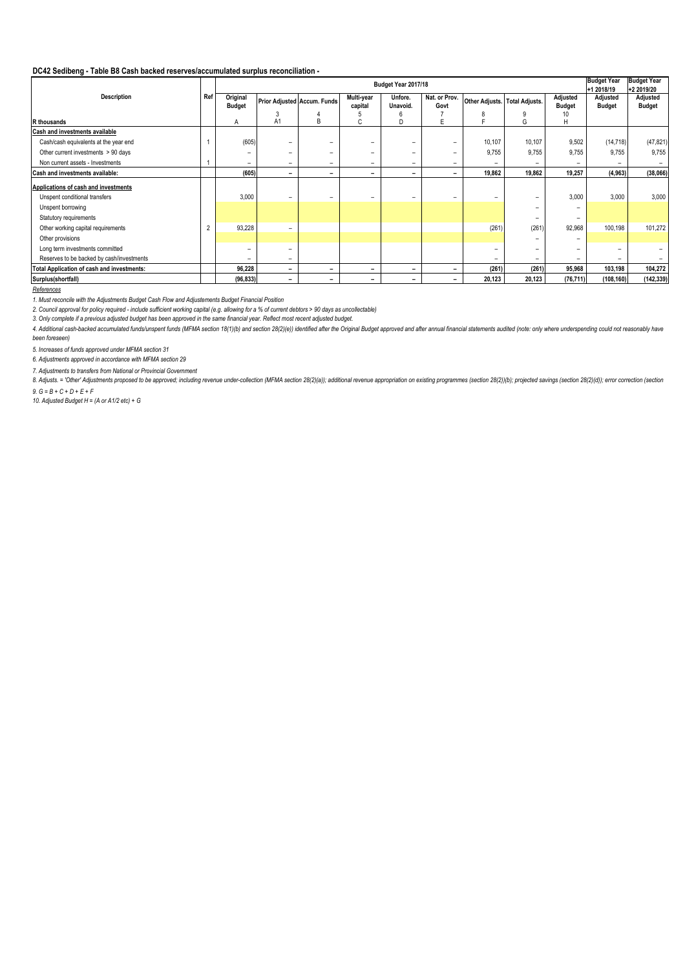#### **DC42 Sedibeng - Table B8 Cash backed reserves/accumulated surplus reconciliation -**

|                                                   |     |                           |                |                             | <b>Budget Year</b><br>+1 2018/19 | <b>Budget Year</b><br>+2 2019/20 |                       |                               |        |                           |                           |                           |
|---------------------------------------------------|-----|---------------------------|----------------|-----------------------------|----------------------------------|----------------------------------|-----------------------|-------------------------------|--------|---------------------------|---------------------------|---------------------------|
| <b>Description</b>                                | Ref | Original<br><b>Budget</b> |                | Prior Adjusted Accum. Funds | Multi-year<br>capital            | Unfore.<br>Unavoid.              | Nat. or Prov.<br>Govt | Other Adjusts. Total Adjusts. |        | Adjusted<br><b>Budget</b> | Adjusted<br><b>Budget</b> | Adjusted<br><b>Budget</b> |
|                                                   |     |                           |                |                             |                                  |                                  |                       |                               |        | 10                        |                           |                           |
| R thousands                                       |     | A                         | A <sub>1</sub> | B                           | ι.                               | D                                |                       |                               | G      | H                         |                           |                           |
| <b>Cash and investments available</b>             |     |                           |                |                             |                                  |                                  |                       |                               |        |                           |                           |                           |
| Cash/cash equivalents at the year end             |     | (605)                     | -              |                             |                                  |                                  | -                     | 10,107                        | 10,107 | 9,502                     | (14, 718)                 | (47, 821)                 |
| Other current investments > 90 days               |     |                           | -              |                             | -                                |                                  | -                     | 9,755                         | 9,755  | 9,755                     | 9,755                     | 9,755                     |
| Non current assets - Investments                  |     |                           | -              | -                           | -                                | -                                | -                     | -                             |        |                           |                           |                           |
| Cash and investments available:                   |     | (605)                     | -              | -                           | -                                | -                                | ۰                     | 19,862                        | 19,862 | 19,257                    | (4, 963)                  | (38,066)                  |
| Applications of cash and investments              |     |                           |                |                             |                                  |                                  |                       |                               |        |                           |                           |                           |
| Unspent conditional transfers                     |     | 3,000                     | -              |                             | -                                |                                  | -                     | -                             |        | 3,000                     | 3,000                     | 3,000                     |
| Unspent borrowing                                 |     |                           |                |                             |                                  |                                  |                       |                               |        |                           |                           |                           |
| Statutory requirements                            |     |                           |                |                             |                                  |                                  |                       |                               |        | -                         |                           |                           |
| Other working capital requirements                |     | 93,228                    | -              |                             |                                  |                                  |                       | (261)                         | (261)  | 92,968                    | 100,198                   | 101,272                   |
| Other provisions                                  |     |                           |                |                             |                                  |                                  |                       |                               |        |                           |                           |                           |
| Long term investments committed                   |     |                           | -              |                             |                                  |                                  |                       | $\overline{\phantom{m}}$      |        |                           |                           |                           |
| Reserves to be backed by cash/investments         |     |                           | -              |                             |                                  |                                  |                       | -                             |        |                           |                           |                           |
| <b>Total Application of cash and investments:</b> |     | 96,228                    | -              | -                           | $\overline{\phantom{0}}$         | -                                | -                     | (261)                         | (261)  | 95,968                    | 103,198                   | 104,272                   |
| Surplus(shortfall)                                |     | (96, 833)                 | -              | -                           | -                                | -                                | -                     | 20,123                        | 20,123 | (76, 711)                 | (108, 160)                | (142, 339)                |

*References*

*1. Must reconcile with the Adjustments Budget Cash Flow and Adjustements Budget Financial Position*

*2. Council approval for policy required - include sufficient working capital (e.g. allowing for a % of current debtors > 90 days as uncollectable)*

*3. Only complete if a previous adjusted budget has been approved in the same financial year. Reflect most recent adjusted budget.*

4. Additional cash-backed accumulated funds/unspent funds (MFMA section 18(1)(b) and section 28(2)(e)) identified after the Original Budget approved and after annual financial statements audited (note: only where underspen *been foreseen)*

*5. Increases of funds approved under MFMA section 31*

*6. Adjustments approved in accordance with MFMA section 29* 

*7. Adjustments to transfers from National or Provincial Government*

 $9. G = B + C + D + E + F$ 8. Adjusts. = 'Other' Adjustments proposed to be approved; including revenue under-collection (MFMA section 28(2)(a)); additional revenue appropriation on existing programmes (section 28(2)(b); projected savings (section 2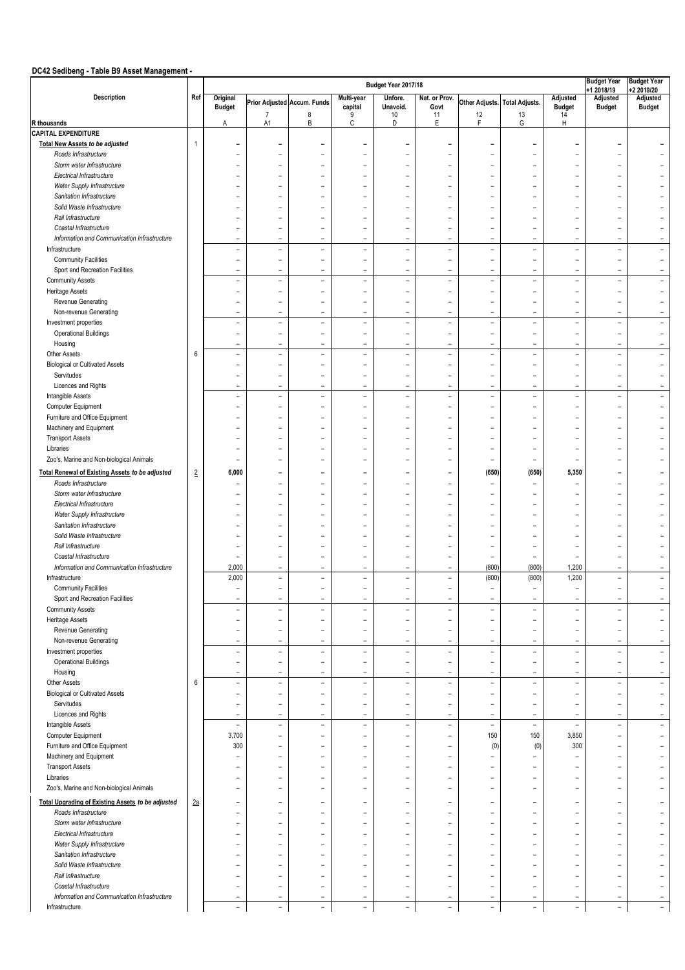# **DC42 Sedibeng - Table B9 Asset Management -**

|                                                                        | Budget Year 2017/18 |                                                      |                                                      |                               |                               |                               |                                                      |                                            |                                      |                                      |                                         | <b>Budget Year</b>                                   |
|------------------------------------------------------------------------|---------------------|------------------------------------------------------|------------------------------------------------------|-------------------------------|-------------------------------|-------------------------------|------------------------------------------------------|--------------------------------------------|--------------------------------------|--------------------------------------|-----------------------------------------|------------------------------------------------------|
| Description                                                            | Ref                 | Original<br><b>Budget</b>                            |                                                      | Prior Adjusted Accum. Funds   | Multi-year<br>capital         | Unfore.<br>Unavoid.           | Nat. or Prov.<br>Govt                                |                                            | Other Adjusts. Total Adjusts.        | Adjusted<br><b>Budget</b>            | +1 2018/19<br>Adjusted<br><b>Budget</b> | +2 2019/20<br>Adjusted<br><b>Budget</b>              |
| R thousands                                                            |                     | Α                                                    | $\overline{7}$<br>A <sub>1</sub>                     | 8<br>B                        | 9<br>C                        | $10$<br>D                     | 11<br>E                                              | 12<br>F                                    | 13<br>G                              | 14<br>H                              |                                         |                                                      |
| <b>CAPITAL EXPENDITURE</b>                                             |                     |                                                      |                                                      |                               |                               |                               |                                                      |                                            |                                      |                                      |                                         |                                                      |
| <b>Total New Assets to be adjusted</b>                                 | $\mathbf{1}$        | ۰                                                    |                                                      |                               |                               | ۰                             | ۰                                                    |                                            | ۰                                    | $\overline{\phantom{a}}$             | $\overline{\phantom{0}}$                |                                                      |
| Roads Infrastructure                                                   |                     | $\overline{\phantom{m}}$                             | $\overline{\phantom{0}}$                             | $\overline{\phantom{a}}$      | $\overline{\phantom{a}}$      | ۳                             | $\overline{\phantom{0}}$                             | $\overline{\phantom{0}}$                   | ۳                                    | $\equiv$                             | $\overline{\phantom{a}}$                | $\blacksquare$                                       |
| Storm water Infrastructure                                             |                     |                                                      |                                                      |                               | ۳                             |                               | ۳                                                    |                                            | ۰                                    | $\overline{\phantom{0}}$             |                                         | $\overline{\phantom{0}}$                             |
| Electrical Infrastructure                                              |                     | $\overline{\phantom{a}}$                             | $\overline{\phantom{0}}$                             | ۰                             | ۳                             | $\sim$                        | $\overline{\phantom{a}}$                             | L,                                         | ۳                                    | $\equiv$                             | $\equiv$                                | $\equiv$                                             |
| Water Supply Infrastructure                                            |                     |                                                      |                                                      |                               |                               |                               | L,                                                   |                                            |                                      |                                      |                                         |                                                      |
| Sanitation Infrastructure                                              |                     |                                                      |                                                      |                               | $\overline{\phantom{0}}$      | ۳                             | $\overline{\phantom{0}}$                             |                                            |                                      | $\equiv$                             |                                         |                                                      |
| Solid Waste Infrastructure                                             |                     |                                                      |                                                      |                               | L.                            |                               | $\overline{\phantom{0}}$                             |                                            |                                      | $\equiv$                             |                                         | $\overline{\phantom{0}}$                             |
| Rail Infrastructure                                                    |                     |                                                      |                                                      |                               |                               |                               | $\overline{\phantom{0}}$                             |                                            | ۰                                    | $\overline{\phantom{0}}$             | ۰                                       |                                                      |
| Coastal Infrastructure                                                 |                     |                                                      | $\overline{\phantom{0}}$                             | ٠                             | $\overline{\phantom{0}}$      | ۰                             | L,                                                   |                                            | ÷,                                   | $\equiv$                             | ۰                                       | $\overline{\phantom{0}}$                             |
| Information and Communication Infrastructure                           |                     | $\qquad \qquad -$                                    | $\overline{\phantom{a}}$                             | $\overline{\phantom{a}}$      | L,                            | $\qquad \qquad$               | $\qquad \qquad -$                                    | $\overline{\phantom{a}}$                   | $\qquad \qquad -$                    | $\qquad \qquad -$                    | $\overline{\phantom{0}}$                | $\overline{\phantom{a}}$                             |
| Infrastructure                                                         |                     | $\equiv$                                             | $\overline{\phantom{a}}$                             | $\overline{\phantom{a}}$      | $\overline{\phantom{a}}$      | $\overline{\phantom{a}}$      | $\sim$                                               | $\overline{\phantom{a}}$                   | $\overline{\phantom{m}}$             | $\overline{\phantom{a}}$             | $\overline{\phantom{a}}$                | $\blacksquare$                                       |
| <b>Community Facilities</b>                                            |                     | $\overline{\phantom{m}}$                             | $\overline{\phantom{a}}$                             | $\blacksquare$                | ÷                             | $\overline{\phantom{a}}$      | $\overline{\phantom{a}}$                             | $\overline{\phantom{a}}$                   | ۰                                    | $\equiv$                             | $\overline{\phantom{0}}$                | $\overline{\phantom{a}}$                             |
| Sport and Recreation Facilities                                        |                     | $\overline{\phantom{m}}$                             | $\overline{\phantom{a}}$                             | $\overline{\phantom{a}}$      | $\overline{\phantom{0}}$      | $\overline{\phantom{a}}$      | $\overline{\phantom{a}}$                             | $\overline{\phantom{a}}$                   | ۰                                    | $\equiv$                             | $\overline{\phantom{0}}$                | $\overline{\phantom{a}}$                             |
| <b>Community Assets</b>                                                |                     | $\qquad \qquad -$                                    | $\overline{\phantom{a}}$                             | $\overline{\phantom{a}}$      | $\overline{\phantom{0}}$      | $\overline{\phantom{a}}$      | $\overline{\phantom{m}}$                             | $\blacksquare$                             | $\qquad \qquad -$                    | $\equiv$                             | $\qquad \qquad -$                       | $\blacksquare$                                       |
| <b>Heritage Assets</b>                                                 |                     | $\qquad \qquad -$                                    | $\qquad \qquad -$                                    | $\qquad \qquad -$             | $\overline{a}$                | ۰                             | -                                                    | $\overline{\phantom{a}}$                   | $\qquad \qquad -$                    | $\qquad \qquad -$                    | $\overline{\phantom{0}}$                | $\qquad \qquad -$                                    |
| Revenue Generating                                                     |                     | $\overline{\phantom{0}}$                             | $\overline{\phantom{0}}$                             | ۰                             | $\overline{\phantom{a}}$      | ۳                             | $\overline{\phantom{0}}$                             | $\rightarrow$                              | $\equiv$                             | $\equiv$                             | $\overline{\phantom{0}}$                | $\equiv$                                             |
| Non-revenue Generating                                                 |                     | $\qquad \qquad -$                                    | $\qquad \qquad -$                                    | $\overline{\phantom{a}}$      | $\overline{a}$                | $\overline{\phantom{0}}$      | $\overline{a}$                                       | $\overline{\phantom{a}}$                   | $\qquad \qquad -$                    | $\qquad \qquad -$                    | $\qquad \qquad -$                       | $\qquad \qquad -$                                    |
| Investment properties                                                  |                     | $\qquad \qquad -$                                    | $\qquad \qquad -$                                    | $\overline{\phantom{a}}$      | $\overline{\phantom{a}}$      | $\overline{\phantom{a}}$      | $\qquad \qquad -$                                    | $\overline{\phantom{a}}$                   | $\qquad \qquad -$                    | $\qquad \qquad -$                    | $\overline{\phantom{0}}$                | $\overline{\phantom{a}}$                             |
| <b>Operational Buildings</b>                                           |                     | $\overline{a}$                                       | $\overline{\phantom{a}}$                             | $\overline{\phantom{a}}$      | $\overline{\phantom{a}}$      | $\overline{\phantom{a}}$      | $\overline{\phantom{a}}$                             | $\equiv$                                   | $\qquad \qquad -$                    | $\qquad \qquad -$                    | $\overline{\phantom{0}}$                | $\overline{\phantom{a}}$                             |
| Housing                                                                |                     | $\equiv$                                             | $\overline{\phantom{a}}$                             | $\blacksquare$                | $\overline{\phantom{0}}$      | $\overline{\phantom{a}}$      | $\qquad \qquad -$                                    | $\overline{\phantom{a}}$                   | $\equiv$                             | $\qquad \qquad -$                    | $\overline{\phantom{a}}$                | $\overline{\phantom{a}}$                             |
| <b>Other Assets</b>                                                    | 6                   | $\overline{\phantom{a}}$                             | $\overline{\phantom{a}}$                             | $\overline{\phantom{a}}$      | L,                            | $\overline{\phantom{a}}$      | $\overline{\phantom{a}}$                             | $\overline{\phantom{a}}$                   | $\overline{\phantom{a}}$             | $\overline{\phantom{a}}$             | $\overline{\phantom{a}}$                | $\overline{\phantom{a}}$                             |
| <b>Biological or Cultivated Assets</b>                                 |                     | $\qquad \qquad -$                                    | $\qquad \qquad -$                                    | $\overline{\phantom{a}}$      | $\overline{a}$                | $\overline{\phantom{0}}$      | $\qquad \qquad -$                                    | $\qquad \qquad -$                          | $\qquad \qquad -$                    | $\qquad \qquad -$                    | $\qquad \qquad -$                       | $\overline{\phantom{a}}$                             |
| Servitudes                                                             |                     | $\qquad \qquad -$                                    | $\overline{\phantom{m}}$                             | $\overline{\phantom{m}}$      | $\overline{\phantom{0}}$      | $\overline{\phantom{a}}$      | $\qquad \qquad -$                                    | $\qquad \qquad -$                          | $\overline{\phantom{a}}$             | $\overline{\phantom{a}}$             | $\qquad \qquad -$                       | $\qquad \qquad -$                                    |
| Licences and Rights                                                    |                     | $\overline{\phantom{m}}$                             | $\overline{\phantom{a}}$                             | $\overline{\phantom{a}}$      | $\overline{\phantom{0}}$      | $\overline{\phantom{a}}$      | $\overline{\phantom{a}}$                             | $\blacksquare$                             | $\overline{\phantom{a}}$             | $\overline{\phantom{a}}$             | $\overline{\phantom{0}}$                | $\overline{\phantom{a}}$                             |
| Intangible Assets                                                      |                     | $\qquad \qquad -$                                    | $\overline{\phantom{a}}$                             | $\overline{\phantom{a}}$      | $\overline{\phantom{0}}$      | $\overline{\phantom{m}}$      | $\overline{\phantom{a}}$                             | $\overline{\phantom{a}}$                   | $\overline{\phantom{a}}$             | $\equiv$                             | $\overline{\phantom{a}}$                |                                                      |
| Computer Equipment                                                     |                     | $\overline{\phantom{m}}$                             | $\overline{\phantom{0}}$                             | $\overline{\phantom{a}}$      | $\overline{\phantom{0}}$      | $\overline{\phantom{0}}$      | $\overline{\phantom{a}}$                             | $\overline{\phantom{a}}$                   | ۰                                    | $\equiv$                             | $\overline{\phantom{0}}$                |                                                      |
| Furniture and Office Equipment                                         |                     | $\overline{\phantom{m}}$                             | $\overline{\phantom{0}}$                             | ۰                             | $\overline{\phantom{0}}$      | $\overline{\phantom{a}}$      | $\overline{\phantom{0}}$                             | L,                                         | $\equiv$                             | $\qquad \qquad -$                    | $\overline{\phantom{a}}$                | $\blacksquare$                                       |
| Machinery and Equipment                                                |                     |                                                      |                                                      |                               | ۰                             | ۰                             | $\overline{\phantom{a}}$                             |                                            | ۰                                    | $\equiv$                             | ۰                                       |                                                      |
| <b>Transport Assets</b>                                                |                     | $\overline{\phantom{0}}$                             | $\overline{\phantom{0}}$                             | ۰                             | ۳                             | ۳                             | $\overline{\phantom{0}}$                             | L,                                         | ۳                                    | $\equiv$                             | $\equiv$                                |                                                      |
| Libraries                                                              |                     |                                                      |                                                      |                               |                               |                               | $\overline{\phantom{0}}$                             |                                            | ÷,                                   | $\equiv$                             |                                         |                                                      |
| Zoo's, Marine and Non-biological Animals                               |                     | $\overline{\phantom{0}}$                             | $\overline{\phantom{a}}$                             |                               | L.                            | ۳                             | L,                                                   | $\overline{\phantom{a}}$                   | $\overline{\phantom{a}}$             | $\qquad \qquad -$                    | $\overline{\phantom{a}}$                |                                                      |
| Total Renewal of Existing Assets to be adjusted                        | $\overline{2}$      | 6,000                                                | $\overline{\phantom{0}}$                             | $\overline{\phantom{0}}$      | ۳                             | ۰                             | $\overline{\phantom{0}}$                             | (650)                                      | (650)                                | 5,350                                | $\overline{\phantom{0}}$                |                                                      |
| Roads Infrastructure                                                   |                     |                                                      |                                                      |                               |                               |                               | L,                                                   | -                                          |                                      |                                      |                                         | $\overline{\phantom{0}}$                             |
| Storm water Infrastructure                                             |                     |                                                      | $\overline{a}$                                       |                               | ۳                             | ۳                             | L                                                    | $\overline{\phantom{0}}$                   |                                      | $\equiv$                             | $\overline{\phantom{a}}$                |                                                      |
| Electrical Infrastructure                                              |                     |                                                      |                                                      |                               | $\overline{\phantom{0}}$      |                               | L,                                                   | $\overline{a}$                             |                                      | $\qquad \qquad -$                    |                                         |                                                      |
|                                                                        |                     |                                                      |                                                      |                               |                               |                               | $\overline{\phantom{0}}$                             |                                            | ۰                                    | $\equiv$                             |                                         |                                                      |
| Water Supply Infrastructure<br>Sanitation Infrastructure               |                     |                                                      |                                                      |                               |                               |                               | $\overline{\phantom{0}}$                             |                                            | ۰                                    | $\overline{\phantom{0}}$             | ۰                                       |                                                      |
| Solid Waste Infrastructure                                             |                     |                                                      |                                                      |                               |                               |                               | $\overline{\phantom{0}}$                             |                                            | ۰                                    | $\overline{\phantom{0}}$             | ۰                                       |                                                      |
|                                                                        |                     |                                                      | $\overline{\phantom{0}}$                             | ÷                             |                               | ۰                             |                                                      |                                            |                                      |                                      | ۰                                       |                                                      |
| Rail Infrastructure                                                    |                     | $\overline{\phantom{0}}$<br>$\overline{\phantom{a}}$ |                                                      |                               | ۰<br>$\overline{\phantom{0}}$ |                               | ۳                                                    | $\overline{\phantom{0}}$<br>$\blacksquare$ | $\overline{\phantom{m}}$<br>$\equiv$ | $\overline{\phantom{0}}$<br>$\equiv$ |                                         |                                                      |
| Coastal Infrastructure<br>Information and Communication Infrastructure |                     | 2,000                                                | $\overline{\phantom{0}}$<br>$\overline{\phantom{a}}$ | ۰<br>$\overline{\phantom{a}}$ | ۳                             | ۰<br>$\overline{\phantom{a}}$ | $\overline{\phantom{0}}$<br>$\overline{\phantom{a}}$ | (800)                                      | (800)                                |                                      | ۰<br>۰                                  |                                                      |
|                                                                        |                     |                                                      |                                                      |                               |                               |                               |                                                      |                                            |                                      | 1,200                                |                                         |                                                      |
| Infrastructure                                                         |                     | 2,000                                                | $\overline{\phantom{a}}$                             | $\overline{\phantom{a}}$      | $\overline{\phantom{0}}$      | $\overline{\phantom{a}}$      | $\overline{\phantom{a}}$                             | (800)                                      | (800)                                | 1,200                                | $\overline{a}$                          |                                                      |
| <b>Community Facilities</b>                                            |                     | $\equiv$                                             | $\equiv$<br>$\equiv$                                 |                               | ۳                             | ۳<br>$\sim$                   | $\equiv$                                             | $\equiv$<br>÷                              | $\equiv$                             | $\equiv$                             | $\overline{\phantom{0}}$                |                                                      |
| Sport and Recreation Facilities                                        |                     | $\equiv$                                             |                                                      | $\overline{\phantom{a}}$      | $\rightarrow$                 |                               | $\sim$                                               |                                            | $\overline{\phantom{a}}$             | $\equiv$                             | $\overline{\phantom{a}}$                | $\blacksquare$                                       |
| <b>Community Assets</b>                                                |                     | $\qquad \qquad -$                                    | $\qquad \qquad -$                                    | $\overline{\phantom{a}}$      | $\overline{\phantom{0}}$      | $\overline{\phantom{a}}$      | $\overline{a}$                                       | $\overline{\phantom{a}}$                   | $\overline{\phantom{0}}$             | $\qquad \qquad -$                    | $\overline{a}$                          | $\overline{\phantom{a}}$<br>$\overline{\phantom{a}}$ |
| Heritage Assets                                                        |                     | $\qquad \qquad -$                                    | $\overline{\phantom{0}}$                             | $\overline{\phantom{a}}$      | $\qquad \qquad -$             | $\overline{\phantom{0}}$      | $\overline{a}$                                       | $\overline{\phantom{a}}$                   | $\qquad \qquad -$                    | $\overline{\phantom{a}}$             | $\qquad \qquad -$                       |                                                      |
| Revenue Generating                                                     |                     | $\qquad \qquad -$                                    | $\qquad \qquad -$                                    | $\overline{\phantom{a}}$      | $\qquad \qquad -$             | $\overline{\phantom{a}}$      | -                                                    | $\qquad \qquad -$                          | $\qquad \qquad -$                    | $\qquad \qquad -$                    | $\overline{a}$                          |                                                      |
| Non-revenue Generating                                                 |                     | $\qquad \qquad -$                                    | $\overline{\phantom{a}}$                             | $\overline{\phantom{a}}$      | $\overline{\phantom{a}}$      | $\overline{\phantom{a}}$      | $\qquad \qquad -$                                    | $\overline{\phantom{a}}$                   | $\qquad \qquad -$                    | $\overline{\phantom{a}}$             | $\qquad \qquad -$                       |                                                      |
| Investment properties                                                  |                     | $\overline{\phantom{a}}$                             | $\overline{\phantom{a}}$                             | $\overline{\phantom{a}}$      | $\overline{\phantom{a}}$      | $\overline{\phantom{a}}$      | $\overline{\phantom{a}}$                             | $\overline{\phantom{a}}$                   | $\overline{\phantom{a}}$             | $\overline{\phantom{a}}$             | $\overline{\phantom{a}}$                |                                                      |
| <b>Operational Buildings</b>                                           |                     | $\overline{\phantom{a}}$                             | $\overline{\phantom{a}}$                             | $\overline{\phantom{a}}$      | $\overline{\phantom{a}}$      | $\overline{\phantom{a}}$      | $\overline{\phantom{a}}$                             | $\overline{\phantom{a}}$                   | $\overline{\phantom{a}}$             | $\overline{\phantom{a}}$             | $\qquad \qquad -$                       |                                                      |
| Housing                                                                |                     | $\overline{\phantom{a}}$                             | $\overline{\phantom{a}}$                             | $\overline{\phantom{a}}$      | $\overline{\phantom{a}}$      | $\overline{\phantom{a}}$      | $\overline{\phantom{a}}$                             | $\overline{\phantom{a}}$                   | $\overline{\phantom{a}}$             | $\overline{\phantom{a}}$             | $\overline{\phantom{a}}$                |                                                      |
| Other Assets                                                           | 6                   | $\overline{\phantom{a}}$                             | $\overline{\phantom{a}}$                             | $\overline{\phantom{a}}$      | $\overline{\phantom{a}}$      | $\overline{\phantom{a}}$      | $\overline{\phantom{a}}$                             | $\overline{\phantom{a}}$                   | $\overline{\phantom{a}}$             | $\overline{\phantom{a}}$             | $\qquad \qquad -$                       |                                                      |
| <b>Biological or Cultivated Assets</b>                                 |                     | $\overline{\phantom{m}}$                             | $\overline{\phantom{a}}$                             | $\overline{\phantom{a}}$      | $\overline{\phantom{a}}$      | $\overline{\phantom{a}}$      | $\overline{\phantom{a}}$                             | $\overline{\phantom{a}}$                   | $\overline{\phantom{a}}$             | $\overline{\phantom{a}}$             | $\overline{\phantom{0}}$                |                                                      |
| Servitudes                                                             |                     | $\overline{\phantom{m}}$                             | $\overline{\phantom{a}}$                             | $\overline{\phantom{a}}$      | $\overline{\phantom{0}}$      | $\overline{\phantom{a}}$      | $\overline{\phantom{m}}$                             | $\blacksquare$                             | $\equiv$                             | $\equiv$                             | $\overline{\phantom{0}}$                |                                                      |
| Licences and Rights                                                    |                     | $\overline{\phantom{a}}$                             | $\overline{\phantom{a}}$                             | $\overline{\phantom{a}}$      | $\overline{\phantom{a}}$      | $\overline{\phantom{0}}$      | $\overline{\phantom{a}}$                             | $\overline{\phantom{a}}$                   | $\overline{\phantom{a}}$             | $\overline{\phantom{a}}$             | $\overline{\phantom{a}}$                |                                                      |
| Intangible Assets                                                      |                     | $\overline{\phantom{a}}$                             | $\overline{\phantom{a}}$                             | $\equiv$                      | $\overline{\phantom{a}}$      | $\overline{\phantom{0}}$      | $\equiv$                                             | $\overline{\phantom{a}}$                   | $\overline{\phantom{a}}$             | $\overline{\phantom{a}}$             | $\overline{\phantom{a}}$                |                                                      |
| Computer Equipment                                                     |                     | 3,700                                                | $\qquad \qquad -$                                    | $\qquad \qquad -$             | $\qquad \qquad -$             | $\overline{a}$                | $\overline{\phantom{a}}$                             | 150                                        | 150                                  | 3,850                                | $\qquad \qquad -$                       |                                                      |
| Furniture and Office Equipment                                         |                     | 300                                                  | $\qquad \qquad -$                                    | $\overline{\phantom{a}}$      | L,                            | $\overline{\phantom{a}}$      | $\qquad \qquad -$                                    | (0)                                        | (0)                                  | 300                                  | $\qquad \qquad -$                       |                                                      |
| Machinery and Equipment                                                |                     |                                                      | $\qquad \qquad -$                                    | $\blacksquare$                | $\qquad \qquad -$             | $\overline{\phantom{a}}$      | $\overline{a}$                                       | $\overline{\phantom{0}}$                   | $\qquad \qquad -$                    | $\overline{\phantom{a}}$             | $\qquad \qquad -$                       |                                                      |
| <b>Transport Assets</b>                                                |                     | -                                                    | $\overline{\phantom{0}}$                             | ۰                             | $\overline{a}$                | ۰                             | $\qquad \qquad -$                                    | $\blacksquare$                             | $\qquad \qquad -$                    | $\equiv$                             | $\overline{\phantom{0}}$                |                                                      |
| Libraries                                                              |                     | $\qquad \qquad -$                                    | $\overline{\phantom{a}}$                             | $\overline{\phantom{a}}$      | L,                            | $\overline{\phantom{a}}$      | $\qquad \qquad -$                                    | $\blacksquare$                             | $\qquad \qquad -$                    | $\overline{\phantom{a}}$             | $\overline{\phantom{a}}$                |                                                      |
| Zoo's, Marine and Non-biological Animals                               |                     | $\qquad \qquad -$                                    | $\overline{\phantom{a}}$                             | $\overline{\phantom{m}}$      | $\overline{a}$                | $\overline{\phantom{0}}$      | $\qquad \qquad -$                                    | $\qquad \qquad -$                          | $\qquad \qquad -$                    | $\qquad \qquad -$                    | $\qquad \qquad -$                       |                                                      |
| <b>Total Upgrading of Existing Assets to be adjusted</b>               | 2a                  | $\overline{a}$                                       | $\overline{\phantom{0}}$                             | $\overline{\phantom{a}}$      | $\overline{\phantom{a}}$      | $\overline{\phantom{0}}$      | $\overline{\phantom{0}}$                             | $\overline{\phantom{a}}$                   | $\qquad \qquad$                      | $\overline{\phantom{a}}$             | $\overline{\phantom{0}}$                |                                                      |
| Roads Infrastructure                                                   |                     | $\qquad \qquad -$                                    | $\qquad \qquad -$                                    | $\qquad \qquad -$             | $\qquad \qquad -$             | $\qquad \qquad -$             | -                                                    | $\blacksquare$                             | $\qquad \qquad -$                    | $\qquad \qquad -$                    | $\qquad \qquad -$                       |                                                      |
| Storm water Infrastructure                                             |                     | $\overline{\phantom{m}}$                             | $\overline{\phantom{a}}$                             | $\overline{\phantom{a}}$      | $\qquad \qquad -$             | $\overline{\phantom{a}}$      | $\overline{\phantom{0}}$                             | $\overline{\phantom{a}}$                   | $\qquad \qquad -$                    | $\qquad \qquad -$                    | $\qquad \qquad -$                       |                                                      |
| Electrical Infrastructure                                              |                     | $\overline{\phantom{0}}$                             | $\equiv$                                             | $\equiv$                      | $\overline{\phantom{0}}$      | $\overline{\phantom{m}}$      | $\overline{\phantom{a}}$                             | $\equiv$                                   | $\equiv$                             | $\overline{\phantom{0}}$             | $\overline{\phantom{a}}$                |                                                      |
| Water Supply Infrastructure                                            |                     | $\qquad \qquad -$                                    | $\qquad \qquad -$                                    | $\overline{\phantom{a}}$      | $\overline{a}$                | $\overline{\phantom{a}}$      | -                                                    | $\overline{\phantom{0}}$                   | $\qquad \qquad -$                    | $\qquad \qquad -$                    | $\qquad \qquad -$                       |                                                      |
| Sanitation Infrastructure                                              |                     |                                                      | $\qquad \qquad -$                                    | $\overline{\phantom{a}}$      | L,                            | $\overline{\phantom{a}}$      | $\overline{a}$                                       | $\overline{\phantom{a}}$                   | $\qquad \qquad -$                    | $\qquad \qquad -$                    |                                         |                                                      |
| Solid Waste Infrastructure                                             |                     | $\qquad \qquad -$                                    | $\qquad \qquad -$                                    | $\overline{\phantom{a}}$      | L,                            | $\overline{\phantom{a}}$      | $\overline{a}$                                       | $\overline{\phantom{0}}$                   | $\qquad \qquad -$                    | $\qquad \qquad -$                    | $\qquad \qquad -$                       |                                                      |
| Rail Infrastructure                                                    |                     | $\overline{\phantom{0}}$                             | $\overline{\phantom{0}}$                             | $\overline{\phantom{m}}$      | $\overline{a}$                | $\overline{a}$                | $\overline{\phantom{0}}$                             | $\overline{\phantom{a}}$                   | $\qquad \qquad -$                    | $\qquad \qquad -$                    | $\qquad \qquad -$                       |                                                      |
| Coastal Infrastructure                                                 |                     | $\qquad \qquad -$                                    | $\overline{\phantom{a}}$                             | $\overline{\phantom{a}}$      | $\overline{\phantom{a}}$      | $\overline{\phantom{a}}$      | $\overline{\phantom{a}}$                             | $\overline{\phantom{a}}$                   | $\overline{\phantom{a}}$             | $\overline{\phantom{a}}$             | $\qquad \qquad -$                       |                                                      |
| Information and Communication Infrastructure                           |                     | $\qquad \qquad -$                                    | $\overline{\phantom{a}}$                             |                               | $\overline{\phantom{a}}$      | $\overline{\phantom{m}}$      | $\overline{\phantom{a}}$                             | $\overline{\phantom{a}}$                   |                                      | $\overline{\phantom{a}}$             | $\qquad \qquad -$                       |                                                      |
|                                                                        |                     |                                                      |                                                      | $\overline{\phantom{a}}$      |                               |                               |                                                      |                                            | $\overline{\phantom{a}}$             |                                      |                                         |                                                      |
| Infrastructure                                                         |                     | $\overline{\phantom{a}}$                             | $\overline{\phantom{a}}$                             | $\overline{\phantom{a}}$      | $\sim$                        | $\overline{\phantom{a}}$      | $\overline{\phantom{a}}$                             | $\overline{\phantom{a}}$                   | $\overline{\phantom{a}}$             | $\overline{\phantom{a}}$             | $\overline{\phantom{0}}$                | $\overline{\phantom{a}}$                             |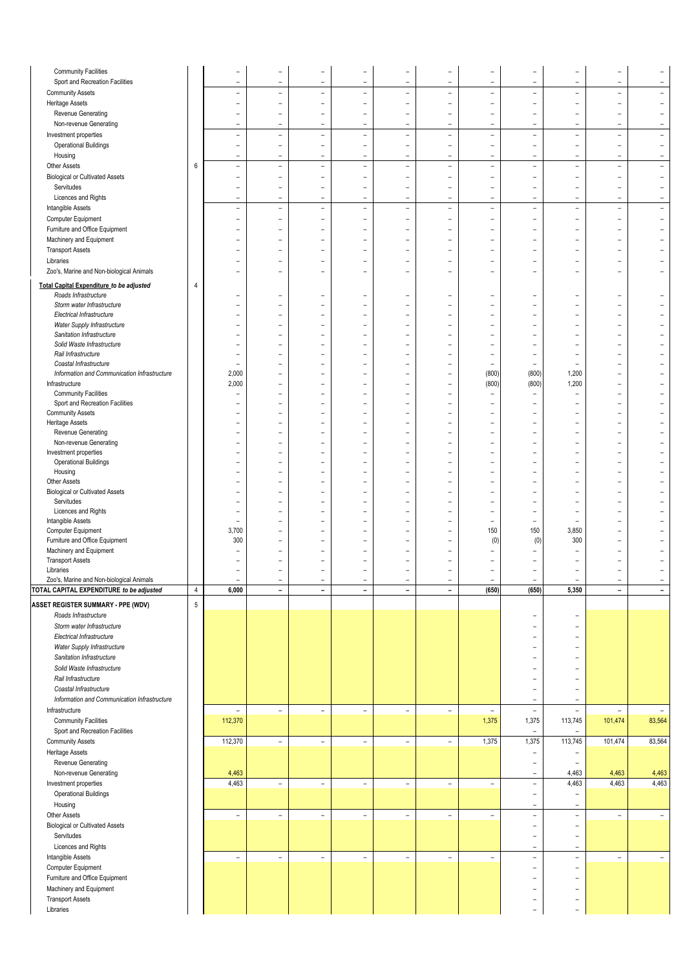| <b>Community Facilities</b>                  |                | ۰                        |                          | $\overline{\phantom{0}}$ |                          |                          |                          |                          |                          | $\overline{\phantom{0}}$ |                          |                          |
|----------------------------------------------|----------------|--------------------------|--------------------------|--------------------------|--------------------------|--------------------------|--------------------------|--------------------------|--------------------------|--------------------------|--------------------------|--------------------------|
|                                              |                | L,                       | L,                       | L,                       | L,                       | L.                       | L,                       | L,                       | L,                       | L                        | $\overline{\phantom{a}}$ |                          |
| Sport and Recreation Facilities              |                |                          |                          |                          |                          |                          |                          |                          |                          |                          |                          |                          |
| <b>Community Assets</b>                      |                | $\overline{\phantom{0}}$ | $\overline{\phantom{0}}$ | $\overline{\phantom{0}}$ | $\qquad \qquad -$        | $\overline{\phantom{0}}$ | $\overline{\phantom{0}}$ | ۰                        | $\qquad \qquad -$        | ۰                        | $\overline{\phantom{a}}$ | $\overline{\phantom{0}}$ |
| <b>Heritage Assets</b>                       |                | ۰                        | $\overline{\phantom{0}}$ | ۰                        | ۰                        | $\overline{\phantom{0}}$ | $\overline{\phantom{0}}$ | ۰                        | $\overline{\phantom{a}}$ | $\overline{\phantom{0}}$ | $\overline{\phantom{a}}$ | $\overline{\phantom{0}}$ |
| Revenue Generating                           |                | ۰                        | -                        | ۰                        | ۰                        | ۰                        | -                        | ۰                        | $\equiv$                 | ۰                        | $\overline{\phantom{a}}$ | $\overline{\phantom{a}}$ |
| Non-revenue Generating                       |                | $\equiv$                 | $\equiv$                 | $\blacksquare$           | ÷                        | $\equiv$                 | $\overline{\phantom{a}}$ | $\overline{\phantom{a}}$ | $\sim$                   | $\overline{\phantom{a}}$ | $\overline{\phantom{a}}$ | $\blacksquare$           |
| Investment properties                        |                | $\equiv$                 | $\qquad \qquad -$        | $\blacksquare$           | $\qquad \qquad -$        | $\equiv$                 | $\overline{\phantom{a}}$ | $\overline{\phantom{a}}$ | $\overline{\phantom{a}}$ | $\overline{\phantom{a}}$ | $\overline{\phantom{a}}$ | $\overline{\phantom{a}}$ |
| <b>Operational Buildings</b>                 |                | -                        | $\overline{\phantom{0}}$ | $\overline{\phantom{0}}$ | $\overline{a}$           | $\overline{a}$           | $\overline{\phantom{0}}$ | $\overline{\phantom{0}}$ | $\qquad \qquad -$        | $\overline{\phantom{0}}$ | $\overline{\phantom{a}}$ | $\qquad \qquad -$        |
|                                              |                |                          |                          |                          |                          |                          |                          |                          |                          |                          |                          |                          |
| Housing                                      |                | $\equiv$                 | $\equiv$                 | $\blacksquare$           | ۰                        | $\overline{\phantom{a}}$ | $\overline{\phantom{0}}$ | $\equiv$                 | $\overline{\phantom{a}}$ | $\equiv$                 | $\sim$                   | $\overline{\phantom{a}}$ |
| Other Assets                                 | 6              | $\equiv$                 | $\overline{\phantom{0}}$ | $\overline{\phantom{a}}$ | $\overline{\phantom{0}}$ | $\overline{\phantom{a}}$ | $\overline{\phantom{0}}$ | $\overline{\phantom{a}}$ | $\overline{\phantom{a}}$ | $\overline{\phantom{a}}$ | $\overline{\phantom{a}}$ | $\overline{\phantom{a}}$ |
| <b>Biological or Cultivated Assets</b>       |                | $\qquad \qquad -$        | $\overline{\phantom{0}}$ | $\qquad \qquad -$        | $\overline{\phantom{0}}$ | $\overline{\phantom{0}}$ | $\overline{\phantom{0}}$ | $\overline{a}$           | -                        | $\overline{\phantom{0}}$ | $\overline{a}$           | $\overline{\phantom{0}}$ |
| Servitudes                                   |                |                          | $\overline{\phantom{0}}$ | $\qquad \qquad -$        | $\overline{\phantom{0}}$ | L,                       | $\overline{\phantom{0}}$ | L                        | -                        | $\overline{\phantom{0}}$ | $\overline{a}$           | $\qquad \qquad -$        |
| Licences and Rights                          |                | $\qquad \qquad -$        | $\overline{\phantom{0}}$ | $\qquad \qquad -$        | $\overline{\phantom{0}}$ | $\overline{a}$           | $\overline{\phantom{0}}$ | $\overline{a}$           | -                        | $\overline{a}$           | $\overline{\phantom{0}}$ | $\overline{\phantom{0}}$ |
|                                              |                |                          |                          |                          |                          |                          |                          |                          |                          |                          |                          |                          |
| Intangible Assets                            |                | $\overline{\phantom{a}}$ | $\overline{\phantom{0}}$ | $\overline{\phantom{a}}$ | $\overline{\phantom{0}}$ | $\overline{\phantom{0}}$ | L,                       | $\overline{\phantom{a}}$ | $\overline{\phantom{a}}$ | $\overline{\phantom{a}}$ | $\overline{\phantom{a}}$ | $\overline{\phantom{m}}$ |
| Computer Equipment                           |                | $\qquad \qquad -$        | $\overline{\phantom{0}}$ | $\qquad \qquad -$        | $\qquad \qquad -$        | $\qquad \qquad -$        | $\overline{\phantom{0}}$ | $\overline{\phantom{0}}$ | $\qquad \qquad -$        | $\qquad \qquad -$        | $\overline{\phantom{a}}$ | $\overline{\phantom{0}}$ |
| Furniture and Office Equipment               |                | $\equiv$                 | $\overline{\phantom{0}}$ | $\equiv$                 | ÷                        | $\overline{\phantom{0}}$ | $\overline{\phantom{0}}$ | $\overline{\phantom{0}}$ | $\overline{\phantom{a}}$ | $\overline{\phantom{a}}$ | $\overline{\phantom{a}}$ |                          |
| Machinery and Equipment                      |                | $\overline{\phantom{0}}$ | -                        | ۰                        | ۰                        | $\overline{\phantom{0}}$ | -                        | ۰                        | $\overline{\phantom{m}}$ | ۰                        | $\overline{\phantom{a}}$ |                          |
| <b>Transport Assets</b>                      |                | ۰                        | -                        | ۰                        | -                        | ۳                        | -                        | ۰                        | ۳                        | ۳                        | ۳                        |                          |
|                                              |                |                          |                          |                          |                          |                          |                          |                          |                          |                          |                          |                          |
| Libraries                                    |                | ۰                        | -                        | ۰                        | -                        | $\overline{\phantom{0}}$ | $\overline{\phantom{0}}$ | ۰                        | ٠                        | $\overline{\phantom{0}}$ | $\overline{\phantom{a}}$ |                          |
| Zoo's, Marine and Non-biological Animals     |                | ۰                        | ۰                        | $\overline{\phantom{0}}$ |                          | ۰                        | ۳                        | ۰                        | L.                       | ۳                        | $\overline{\phantom{0}}$ |                          |
| Total Capital Expenditure to be adjusted     | 4              |                          |                          |                          |                          |                          |                          |                          |                          |                          |                          |                          |
| Roads Infrastructure                         |                | ۰                        | -                        | ۰                        | ۳                        | $\overline{\phantom{0}}$ | ۰                        | ۰                        | ٠                        | $\overline{\phantom{a}}$ | $\overline{\phantom{a}}$ |                          |
|                                              |                |                          |                          |                          |                          |                          |                          |                          |                          |                          |                          |                          |
| Storm water Infrastructure                   |                | $\qquad \qquad -$        | $\overline{\phantom{0}}$ | $\qquad \qquad -$        | -                        | $\qquad \qquad -$        | $\overline{a}$           | $\overline{a}$           | L,                       | $\overline{\phantom{0}}$ | $\overline{\phantom{0}}$ |                          |
| Electrical Infrastructure                    |                |                          | $\overline{\phantom{0}}$ | $\overline{\phantom{0}}$ |                          | -                        |                          |                          | ÷                        |                          | -                        |                          |
| Water Supply Infrastructure                  |                | ۳                        | $\equiv$                 | $\rightarrow$            | L.                       | ۳                        | $\equiv$                 | $\overline{\phantom{0}}$ | $\equiv$                 | ۳                        | $\overline{\phantom{a}}$ |                          |
| Sanitation Infrastructure                    |                | ۰                        | $\overline{\phantom{0}}$ | ۰                        | L,                       |                          |                          |                          | L,                       | $\overline{\phantom{0}}$ | $\overline{\phantom{0}}$ |                          |
| Solid Waste Infrastructure                   |                |                          |                          |                          |                          |                          |                          |                          | L,                       |                          | -                        |                          |
| Rail Infrastructure                          |                | ۰                        |                          | ۰                        |                          | ۳                        |                          | ۰                        | ۰                        | ۰                        | ۰                        |                          |
| Coastal Infrastructure                       |                | $\equiv$                 | -                        | ۰                        | -                        | ۰                        | $\overline{\phantom{0}}$ | $\overline{\phantom{0}}$ | $\overline{\phantom{a}}$ | $\equiv$                 | $\overline{\phantom{a}}$ |                          |
| Information and Communication Infrastructure |                | 2,000                    | $\overline{\phantom{0}}$ | $\overline{a}$           | L,                       | $\overline{\phantom{0}}$ | L,                       | (800)                    | (800)                    | 1,200                    | L                        |                          |
|                                              |                | 2,000                    |                          |                          |                          |                          | L,                       | (800)                    | (800)                    |                          | $\overline{\phantom{0}}$ |                          |
| Infrastructure                               |                |                          | $\overline{\phantom{0}}$ | $\overline{\phantom{0}}$ | ۳                        | ۳                        |                          |                          |                          | 1,200                    |                          |                          |
| <b>Community Facilities</b>                  |                | ۰                        | -                        | $\overline{\phantom{0}}$ | -                        | ۳                        | -                        | $\overline{\phantom{0}}$ | $\overline{\phantom{m}}$ |                          | $\overline{\phantom{0}}$ |                          |
| Sport and Recreation Facilities              |                |                          |                          |                          | L.                       |                          | L.                       | L.                       | ÷,                       | L.                       | L,                       |                          |
| <b>Community Assets</b>                      |                | ۰                        | $\overline{\phantom{0}}$ | ۰                        | L.                       | ۳                        | $\equiv$                 | ۰                        | L.                       | ۳                        | $\overline{\phantom{0}}$ |                          |
| <b>Heritage Assets</b>                       |                |                          | ۰                        | $\overline{\phantom{0}}$ | ۳                        | ۰                        |                          | ۰                        | ۳                        | $\overline{\phantom{0}}$ | ۳                        |                          |
| Revenue Generating                           |                | ۰                        | $\overline{\phantom{0}}$ | $\overline{\phantom{0}}$ | ÷                        | $\overline{\phantom{a}}$ | $\overline{\phantom{0}}$ | $\overline{\phantom{0}}$ | $\overline{\phantom{a}}$ | $\overline{\phantom{0}}$ | $\overline{\phantom{a}}$ |                          |
| Non-revenue Generating                       |                | ۳                        | $\overline{\phantom{0}}$ | $\rightarrow$            | ۳                        | ۳                        | $\equiv$                 | $\rightarrow$            | $\equiv$                 | $\equiv$                 | $\overline{\phantom{a}}$ |                          |
| Investment properties                        |                |                          | -                        | ۰                        | ۳                        | ۳                        | ۳                        | ۰                        | ۳                        | ۳                        | ۳                        |                          |
|                                              |                |                          |                          |                          |                          |                          |                          |                          |                          |                          |                          |                          |
| <b>Operational Buildings</b>                 |                |                          | -                        |                          | ۳                        |                          |                          |                          | L,                       | ۳                        | ۰                        |                          |
| Housing                                      |                |                          | L,                       | $\rightarrow$            | L,                       | L.                       | L                        | L.                       | L.                       | L.                       | $\overline{\phantom{0}}$ |                          |
| Other Assets                                 |                | ۰                        | -                        | ۰                        | -                        | $\overline{\phantom{0}}$ | -                        | ۰                        | -                        | ۰                        | $\overline{\phantom{0}}$ |                          |
| <b>Biological or Cultivated Assets</b>       |                | -                        | $\overline{\phantom{0}}$ | -                        | ۰                        | ۰                        | ۳                        | ۰                        | ۳                        | ۰                        | $\overline{\phantom{0}}$ |                          |
| Servitudes                                   |                |                          | $\overline{\phantom{0}}$ | $\overline{\phantom{0}}$ | $\overline{\phantom{0}}$ | $\overline{\phantom{0}}$ | $\overline{a}$           | Ē,                       | L,                       | $\overline{\phantom{0}}$ | L                        |                          |
| Licences and Rights                          |                | ۰                        | $\overline{\phantom{0}}$ | $\overline{\phantom{0}}$ | $\equiv$                 | ۳                        | $\overline{\phantom{0}}$ | ۰                        | $\overline{\phantom{a}}$ | $\equiv$                 | $\overline{\phantom{a}}$ |                          |
| Intangible Assets                            |                | ۰                        | -                        | ۰                        | ۳                        |                          | -                        | $\overline{\phantom{0}}$ | $\overline{\phantom{a}}$ |                          | ۳                        |                          |
| Computer Equipment                           |                | 3,700                    |                          |                          |                          |                          |                          | 150                      | 150                      | 3,850                    | $\overline{\phantom{0}}$ |                          |
|                                              |                |                          |                          |                          |                          |                          | L.                       |                          |                          |                          | $\overline{\phantom{a}}$ |                          |
| Furniture and Office Equipment               |                | 300                      | $\overline{\phantom{0}}$ | $\overline{\phantom{0}}$ | L,                       | ۰                        |                          | (0)                      | (0)                      | 300                      |                          |                          |
| Machinery and Equipment                      |                | ۰                        | $\overline{\phantom{0}}$ | ۰                        | -                        | ۳                        | $\overline{\phantom{0}}$ | $\qquad \qquad -$        | -                        | -                        | $\overline{\phantom{0}}$ |                          |
| <b>Transport Assets</b>                      |                |                          | $\overline{\phantom{0}}$ | $\overline{\phantom{0}}$ | -                        | $\overline{\phantom{0}}$ |                          |                          |                          |                          |                          |                          |
| Libraries                                    |                | $\equiv$                 | $\overline{\phantom{0}}$ | $\overline{\phantom{0}}$ | $\equiv$                 | $\overline{\phantom{0}}$ | $\overline{\phantom{0}}$ | $\overline{\phantom{0}}$ | $\equiv$                 | $\equiv$                 | $\overline{\phantom{a}}$ |                          |
| Zoo's, Marine and Non-biological Animals     |                |                          |                          |                          |                          |                          |                          |                          |                          |                          |                          |                          |
| TOTAL CAPITAL EXPENDITURE to be adjusted     | $\sqrt{4}$     | 6,000                    | $\overline{\phantom{0}}$ | $\blacksquare$           | $\overline{\phantom{0}}$ | $\overline{\phantom{0}}$ | $\blacksquare$           | (650)                    | (650)                    | 5,350                    | $\blacksquare$           | $\blacksquare$           |
|                                              |                |                          |                          |                          |                          |                          |                          |                          |                          |                          |                          |                          |
| <b>ASSET REGISTER SUMMARY - PPE (WDV)</b>    | $\overline{5}$ |                          |                          |                          |                          |                          |                          |                          |                          |                          |                          |                          |
| Roads Infrastructure                         |                |                          |                          |                          |                          |                          |                          |                          |                          | $\overline{\phantom{a}}$ |                          |                          |
| Storm water Infrastructure                   |                |                          |                          |                          |                          |                          |                          |                          | $\qquad \qquad -$        | $\overline{\phantom{a}}$ |                          |                          |
| Electrical Infrastructure                    |                |                          |                          |                          |                          |                          |                          |                          | $\qquad \qquad -$        | $\overline{\phantom{a}}$ |                          |                          |
|                                              |                |                          |                          |                          |                          |                          |                          |                          |                          |                          |                          |                          |
| Water Supply Infrastructure                  |                |                          |                          |                          |                          |                          |                          |                          | $\overline{\phantom{a}}$ | $\overline{\phantom{a}}$ |                          |                          |
| Sanitation Infrastructure                    |                |                          |                          |                          |                          |                          |                          |                          | ÷                        | $\overline{\phantom{a}}$ |                          |                          |
| Solid Waste Infrastructure                   |                |                          |                          |                          |                          |                          |                          |                          | ۰                        | $\overline{\phantom{a}}$ |                          |                          |
| Rail Infrastructure                          |                |                          |                          |                          |                          |                          |                          |                          | -                        | $\sim$                   |                          |                          |
| Coastal Infrastructure                       |                |                          |                          |                          |                          |                          |                          |                          | $\overline{\phantom{m}}$ | $\overline{\phantom{a}}$ |                          |                          |
|                                              |                |                          |                          |                          |                          |                          |                          |                          |                          |                          |                          |                          |
| Information and Communication Infrastructure |                |                          |                          |                          |                          |                          |                          |                          | $\overline{\phantom{a}}$ | $\overline{\phantom{a}}$ |                          |                          |
| Infrastructure                               |                | $\overline{\phantom{a}}$ | $\overline{\phantom{0}}$ | $\overline{\phantom{a}}$ | $\overline{\phantom{a}}$ | $\overline{\phantom{a}}$ | $\overline{\phantom{a}}$ | $\overline{\phantom{a}}$ | $\overline{\phantom{a}}$ | $\overline{\phantom{a}}$ | $\overline{\phantom{a}}$ | $\overline{\phantom{a}}$ |
| <b>Community Facilities</b>                  |                | 112,370                  |                          |                          |                          |                          |                          | 1,375                    | 1,375                    | 113,745                  | 101,474                  | 83,564                   |
| Sport and Recreation Facilities              |                |                          |                          |                          |                          |                          |                          |                          | $\overline{\phantom{a}}$ | $\overline{\phantom{a}}$ |                          |                          |
| <b>Community Assets</b>                      |                | 112,370                  | $\qquad \qquad -$        | $\overline{\phantom{a}}$ | $\overline{\phantom{0}}$ | $\overline{\phantom{a}}$ | $\overline{\phantom{a}}$ | 1,375                    | 1,375                    | 113,745                  | 101,474                  | 83,564                   |
|                                              |                |                          |                          |                          |                          |                          |                          |                          |                          |                          |                          |                          |
| <b>Heritage Assets</b>                       |                |                          |                          |                          |                          |                          |                          |                          | $\overline{\phantom{a}}$ | $\overline{\phantom{a}}$ |                          |                          |
| Revenue Generating                           |                |                          |                          |                          |                          |                          |                          |                          | $\equiv$                 | $\overline{\phantom{a}}$ |                          |                          |
| Non-revenue Generating                       |                | 4,463                    |                          |                          |                          |                          |                          |                          | $\overline{\phantom{a}}$ | 4,463                    | 4,463                    | 4,463                    |
| Investment properties                        |                | 4,463                    | $\overline{\phantom{0}}$ | $\overline{\phantom{a}}$ | $\overline{\phantom{a}}$ | $\overline{\phantom{a}}$ | $\overline{\phantom{a}}$ | $\overline{\phantom{a}}$ | $\overline{\phantom{a}}$ | 4,463                    | 4,463                    | 4,463                    |
| <b>Operational Buildings</b>                 |                |                          |                          |                          |                          |                          |                          |                          | $\overline{\phantom{a}}$ | $\overline{\phantom{a}}$ |                          |                          |
|                                              |                |                          |                          |                          |                          |                          |                          |                          |                          |                          |                          |                          |
| Housing                                      |                |                          |                          |                          |                          |                          |                          |                          | $\equiv$                 | $\sim$                   |                          |                          |
| Other Assets                                 |                | $\overline{\phantom{a}}$ | $\overline{\phantom{a}}$ | $\overline{\phantom{a}}$ | $\overline{\phantom{a}}$ | $\overline{\phantom{a}}$ | $\overline{\phantom{a}}$ | $\overline{\phantom{a}}$ | $\overline{\phantom{a}}$ | $\overline{\phantom{a}}$ | $\overline{\phantom{a}}$ | $\overline{\phantom{a}}$ |
| <b>Biological or Cultivated Assets</b>       |                |                          |                          |                          |                          |                          |                          |                          | $\overline{\phantom{a}}$ | $\overline{\phantom{a}}$ |                          |                          |
| Servitudes                                   |                |                          |                          |                          |                          |                          |                          |                          | $\equiv$                 | $\overline{\phantom{a}}$ |                          |                          |
| Licences and Rights                          |                |                          |                          |                          |                          |                          |                          |                          | $\overline{\phantom{a}}$ | $\overline{\phantom{a}}$ |                          |                          |
|                                              |                |                          |                          |                          |                          |                          |                          |                          |                          |                          |                          |                          |
| Intangible Assets                            |                | $\overline{\phantom{a}}$ | $\overline{\phantom{a}}$ | $\overline{\phantom{a}}$ | $\overline{\phantom{0}}$ | $\overline{\phantom{a}}$ | $\overline{\phantom{a}}$ | $\overline{\phantom{a}}$ | $\overline{\phantom{a}}$ | $\overline{\phantom{a}}$ | $\overline{\phantom{a}}$ | $\overline{\phantom{a}}$ |
| Computer Equipment                           |                |                          |                          |                          |                          |                          |                          |                          | $\qquad \qquad -$        | $\overline{\phantom{a}}$ |                          |                          |
| Furniture and Office Equipment               |                |                          |                          |                          |                          |                          |                          |                          | L,                       | $\overline{\phantom{a}}$ |                          |                          |
| Machinery and Equipment                      |                |                          |                          |                          |                          |                          |                          |                          | ۳                        | $\overline{\phantom{a}}$ |                          |                          |
|                                              |                |                          |                          |                          |                          |                          |                          |                          |                          |                          |                          |                          |
| <b>Transport Assets</b><br>Libraries         |                |                          |                          |                          |                          |                          |                          |                          | $\overline{\phantom{0}}$ | $\overline{\phantom{a}}$ |                          |                          |
|                                              |                |                          |                          |                          |                          |                          |                          |                          | $\equiv$                 | $\overline{\phantom{a}}$ |                          |                          |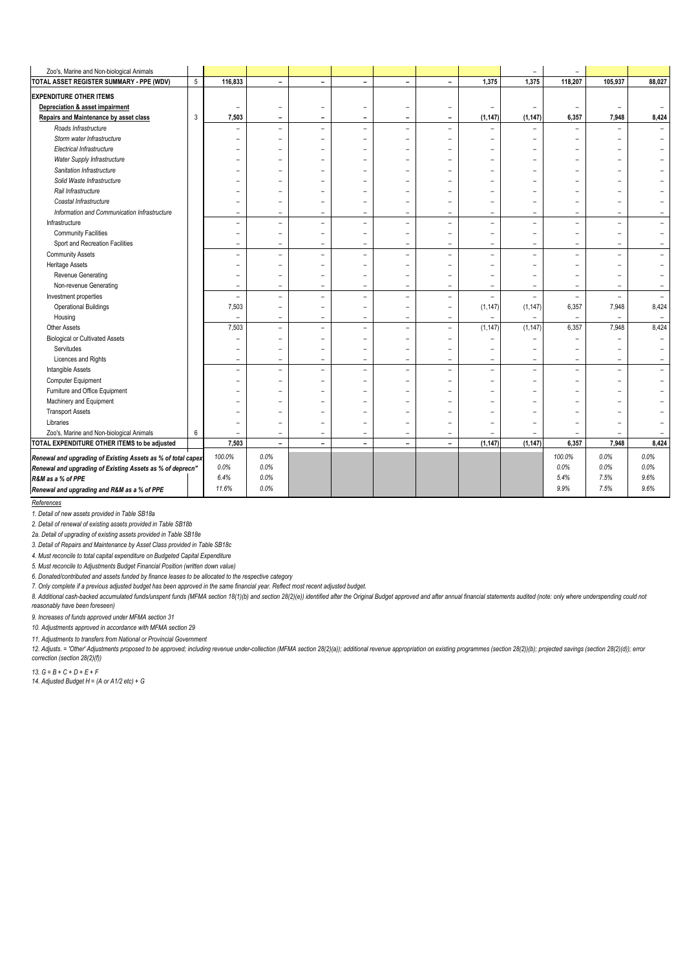| Zoo's, Marine and Non-biological Animals                     |                |                          |                          |                          |                          |                          |                          |                          | $\overline{\phantom{a}}$ | $\overline{\phantom{a}}$ |                          |        |
|--------------------------------------------------------------|----------------|--------------------------|--------------------------|--------------------------|--------------------------|--------------------------|--------------------------|--------------------------|--------------------------|--------------------------|--------------------------|--------|
| TOTAL ASSET REGISTER SUMMARY - PPE (WDV)                     | $\overline{5}$ | 116,833                  | $\overline{\phantom{a}}$ | $\overline{\phantom{a}}$ | $\overline{\phantom{a}}$ | $\overline{\phantom{0}}$ | $\overline{\phantom{0}}$ | 1,375                    | 1,375                    | 118,207                  | 105,937                  | 88,027 |
| <b>EXPENDITURE OTHER ITEMS</b>                               |                |                          |                          |                          |                          |                          |                          |                          |                          |                          |                          |        |
| Depreciation & asset impairment                              |                | $\overline{\phantom{0}}$ | $\qquad \qquad -$        | $\qquad \qquad -$        | -                        | $\qquad \qquad -$        | $\overline{\phantom{0}}$ | $\overline{\phantom{0}}$ | $\overline{\phantom{a}}$ | $\overline{\phantom{a}}$ | $\overline{\phantom{a}}$ |        |
| Repairs and Maintenance by asset class                       | 3              | 7,503                    | $\overline{\phantom{0}}$ | $\overline{\phantom{a}}$ | $\qquad \qquad -$        | -                        | ۰                        | (1, 147)                 | (1, 147)                 | 6,357                    | 7,948                    | 8,424  |
| Roads Infrastructure                                         |                | $\overline{\phantom{0}}$ | $\overline{\phantom{a}}$ | $\blacksquare$           | $\overline{\phantom{a}}$ | $\overline{\phantom{a}}$ | $\equiv$                 | ۳                        |                          |                          |                          |        |
| Storm water Infrastructure                                   |                |                          |                          | $\overline{\phantom{0}}$ | $\overline{\phantom{0}}$ | $\overline{\phantom{0}}$ | $\overline{\phantom{0}}$ | $\overline{\phantom{0}}$ | $\overline{\phantom{0}}$ | $\overline{\phantom{0}}$ |                          |        |
| Electrical Infrastructure                                    |                |                          |                          |                          |                          | $\overline{\phantom{0}}$ | $\equiv$                 | ۳                        |                          |                          |                          |        |
| Water Supply Infrastructure                                  |                |                          |                          | $\overline{\phantom{0}}$ | $\overline{\phantom{0}}$ | -                        |                          |                          |                          |                          |                          |        |
| Sanitation Infrastructure                                    |                |                          |                          | $\equiv$                 | $\overline{\phantom{0}}$ |                          |                          |                          |                          |                          |                          |        |
| Solid Waste Infrastructure                                   |                |                          |                          |                          |                          |                          |                          |                          |                          |                          |                          |        |
| Rail Infrastructure                                          |                |                          |                          |                          |                          | $\overline{\phantom{0}}$ |                          | -                        |                          | ۰                        |                          |        |
| Coastal Infrastructure                                       |                |                          | ۳                        | $\overline{\phantom{0}}$ | $\overline{\phantom{0}}$ | $\overline{\phantom{0}}$ | $\overline{\phantom{0}}$ | ۳                        |                          | ۰                        |                          |        |
| Information and Communication Infrastructure                 |                | $\equiv$                 | $\overline{\phantom{a}}$ | $\equiv$                 | $\equiv$                 | $\overline{\phantom{a}}$ | $\overline{\phantom{0}}$ | $\overline{\phantom{a}}$ | $\equiv$                 | $\overline{\phantom{a}}$ | $\overline{\phantom{a}}$ |        |
| Infrastructure                                               |                | $\equiv$                 | $\overline{\phantom{0}}$ | $\overline{\phantom{a}}$ | $\overline{\phantom{a}}$ | -                        | $\equiv$                 | $\overline{\phantom{0}}$ | $\equiv$                 | $\equiv$                 | $\equiv$                 |        |
| <b>Community Facilities</b>                                  |                | ۰                        | $\overline{\phantom{0}}$ | $\equiv$                 | $\overline{\phantom{a}}$ | $\overline{\phantom{0}}$ | -                        | $\overline{\phantom{0}}$ | $\overline{\phantom{0}}$ | $\overline{\phantom{0}}$ | $\equiv$                 |        |
| Sport and Recreation Facilities                              |                | $\overline{\phantom{m}}$ | $\overline{\phantom{a}}$ | $\overline{\phantom{a}}$ | $\equiv$                 | $\overline{\phantom{a}}$ | $\overline{\phantom{0}}$ | $\overline{\phantom{a}}$ | $\overline{\phantom{0}}$ | $\overline{\phantom{a}}$ | $\equiv$                 |        |
| <b>Community Assets</b>                                      |                | ÷                        | $\overline{\phantom{a}}$ | $\overline{\phantom{0}}$ | $\overline{\phantom{a}}$ | $\overline{\phantom{a}}$ | $\overline{\phantom{0}}$ | L,                       | $\overline{a}$           | $\overline{a}$           | $\bar{\phantom{a}}$      |        |
| <b>Heritage Assets</b>                                       |                |                          | $\equiv$                 | $\equiv$                 | $\overline{\phantom{0}}$ | $\overline{\phantom{0}}$ | $\overline{\phantom{0}}$ | ۳                        |                          | ۳                        |                          |        |
| Revenue Generating                                           |                |                          | $\overline{\phantom{0}}$ | $\qquad \qquad -$        | $\overline{\phantom{0}}$ | $\overline{\phantom{0}}$ | $\overline{\phantom{0}}$ | $\overline{\phantom{0}}$ |                          | $\overline{\phantom{a}}$ |                          |        |
| Non-revenue Generating                                       |                | $\equiv$                 | $\equiv$                 | $\equiv$                 | $\overline{\phantom{a}}$ | $\equiv$                 | $\equiv$                 | $\equiv$                 | $\equiv$                 | $\equiv$                 | $\equiv$                 |        |
| Investment properties                                        |                | ÷,                       | ÷,                       | $\equiv$                 | $\rightarrow$            | $\equiv$                 | $\equiv$                 | $\equiv$                 | $\equiv$                 | $\equiv$                 | $\overline{\phantom{a}}$ |        |
| <b>Operational Buildings</b>                                 |                | 7,503                    | $\overline{\phantom{0}}$ | $\overline{\phantom{0}}$ | $\overline{\phantom{a}}$ | $\overline{\phantom{0}}$ | $\overline{\phantom{0}}$ | (1, 147)                 | (1, 147)                 | 6,357                    | 7,948                    | 8,424  |
| Housing                                                      |                | $\overline{\phantom{a}}$ | $\overline{\phantom{a}}$ | $\blacksquare$           | $\overline{\phantom{a}}$ | $\overline{\phantom{0}}$ | $\equiv$                 | $\overline{\phantom{0}}$ | $\overline{\phantom{m}}$ | $\overline{\phantom{0}}$ | $\overline{\phantom{a}}$ |        |
| Other Assets                                                 |                | 7,503                    | $\overline{\phantom{0}}$ | $\overline{\phantom{a}}$ | $\overline{\phantom{a}}$ | $\overline{\phantom{0}}$ | $\equiv$                 | (1, 147)                 | (1, 147)                 | 6,357                    | 7,948                    | 8,424  |
| <b>Biological or Cultivated Assets</b>                       |                | ۰                        | $\overline{\phantom{0}}$ | $\equiv$                 | $\overline{\phantom{a}}$ | $\overline{\phantom{0}}$ | -                        | $\overline{\phantom{0}}$ | $\overline{\phantom{0}}$ | ۰                        |                          |        |
| Servitudes                                                   |                | ۰                        | $\overline{\phantom{0}}$ | $\overline{\phantom{0}}$ | $\overline{\phantom{a}}$ | $\overline{\phantom{0}}$ | $\overline{\phantom{0}}$ | $\overline{\phantom{0}}$ | $\overline{\phantom{0}}$ | $\overline{\phantom{0}}$ |                          |        |
| Licences and Rights                                          |                | $\overline{\phantom{a}}$ | $\overline{\phantom{0}}$ | $\blacksquare$           | $\equiv$                 | $\overline{\phantom{0}}$ | $\overline{\phantom{0}}$ | $\overline{\phantom{0}}$ | $\overline{\phantom{m}}$ | $\overline{\phantom{0}}$ | $\equiv$                 |        |
| Intangible Assets                                            |                | L,                       | $\overline{\phantom{0}}$ | $\overline{\phantom{0}}$ | $\overline{\phantom{m}}$ | $\overline{\phantom{0}}$ | $\overline{\phantom{0}}$ | Ξ.                       | ۳                        | $\equiv$                 | ÷,                       |        |
| Computer Equipment                                           |                |                          | $\overline{\phantom{0}}$ | ۰                        | $\overline{\phantom{m}}$ | $\overline{\phantom{0}}$ | $\overline{\phantom{0}}$ | -                        | $\overline{\phantom{0}}$ |                          |                          |        |
| Furniture and Office Equipment                               |                |                          |                          |                          |                          | $\overline{\phantom{0}}$ | $\overline{\phantom{0}}$ | -                        |                          |                          |                          |        |
| Machinery and Equipment                                      |                |                          | L.                       | $\equiv$                 | $\overline{\phantom{0}}$ | $\overline{\phantom{0}}$ | $\overline{\phantom{0}}$ | $\overline{\phantom{0}}$ |                          | ۰                        |                          |        |
| <b>Transport Assets</b>                                      |                |                          | ۳                        | $\overline{\phantom{0}}$ | $\overline{\phantom{0}}$ |                          | $\overline{\phantom{0}}$ | ۳                        |                          |                          |                          |        |
| Libraries                                                    |                |                          |                          |                          |                          |                          |                          |                          |                          |                          |                          |        |
| Zoo's, Marine and Non-biological Animals                     | 6              |                          | $\overline{\phantom{a}}$ | $\overline{\phantom{a}}$ | $\overline{\phantom{a}}$ | $\overline{\phantom{0}}$ | $\equiv$                 |                          |                          |                          |                          |        |
| TOTAL EXPENDITURE OTHER ITEMS to be adjusted                 |                | 7,503                    |                          | $\blacksquare$           | $\overline{\phantom{0}}$ | $\overline{\phantom{0}}$ | $\blacksquare$           | (1, 147)                 | (1, 147)                 | 6,357                    | 7,948                    | 8,424  |
| Renewal and upgrading of Existing Assets as % of total capex |                | 100.0%                   | 0.0%                     |                          |                          |                          |                          |                          |                          | 100.0%                   | 0.0%                     | 0.0%   |
| Renewal and upgrading of Existing Assets as % of deprecn"    |                | 0.0%                     | 0.0%                     |                          |                          |                          |                          |                          |                          | 0.0%                     | 0.0%                     | 0.0%   |
| R&M as a % of PPE                                            |                | 6.4%                     | 0.0%                     |                          |                          |                          |                          |                          |                          | 5.4%                     | 7.5%                     | 9.6%   |
| Renewal and upgrading and R&M as a % of PPE                  |                | 11.6%                    | 0.0%                     |                          |                          |                          |                          |                          |                          | 9.9%                     | 7.5%                     | 9.6%   |
|                                                              |                |                          |                          |                          |                          |                          |                          |                          |                          |                          |                          |        |

*References*

*1. Detail of new assets provided in Table SB18a*

*2. Detail of renewal of existing assets provided in Table SB18b*

*2a. Detail of upgrading of existing assets provided in Table SB18e*

*3. Detail of Repairs and Maintenance by Asset Class provided in Table SB18c*

*4. Must reconcile to total capital expenditure on Budgeted Capital Expenditure*

*5. Must reconcile to Adjustments Budget Financial Position (written down value)*

*6. Donated/contributed and assets funded by finance leases to be allocated to the respective category*

*7. Only complete if a previous adjusted budget has been approved in the same financial year. Reflect most recent adjusted budget.*

8. Additional cash-backed accumulated funds/unspent funds (MFMA section 18(1)(b) and section 28(2)(e)) identified after the Original Budget approved and after annual financial statements audited (note: only where underspen *reasonably have been foreseen)*

*9. Increases of funds approved under MFMA section 31*

*10. Adjustments approved in accordance with MFMA section 29* 

*11. Adjustments to transfers from National or Provincial Government*

12. Adjusts. = 'Other' Adjustments proposed to be approved; including revenue under-collection (MFMA section 28(2)(a)); additional revenue appropriation on existing programmes (section 28(2)(b); projected savings (section *correction (section 28(2)(f))*

*13. G = B + C + D + E + F*